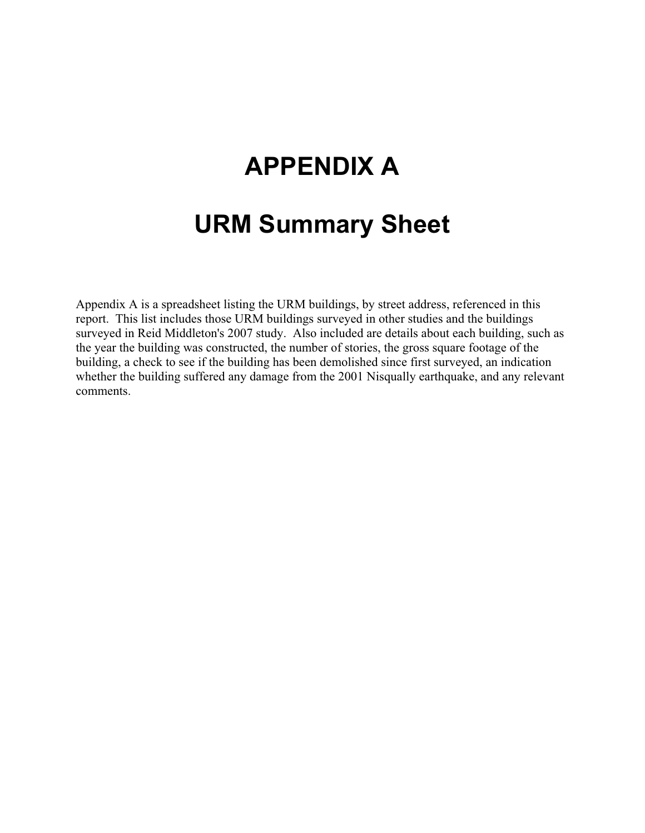## **APPENDIX A**

## **URM Summary Sheet**

Appendix A is a spreadsheet listing the URM buildings, by street address, referenced in this report. This list includes those URM buildings surveyed in other studies and the buildings surveyed in Reid Middleton's 2007 study. Also included are details about each building, such as the year the building was constructed, the number of stories, the gross square footage of the building, a check to see if the building has been demolished since first surveyed, an indication whether the building suffered any damage from the 2001 Nisqually earthquake, and any relevant comments.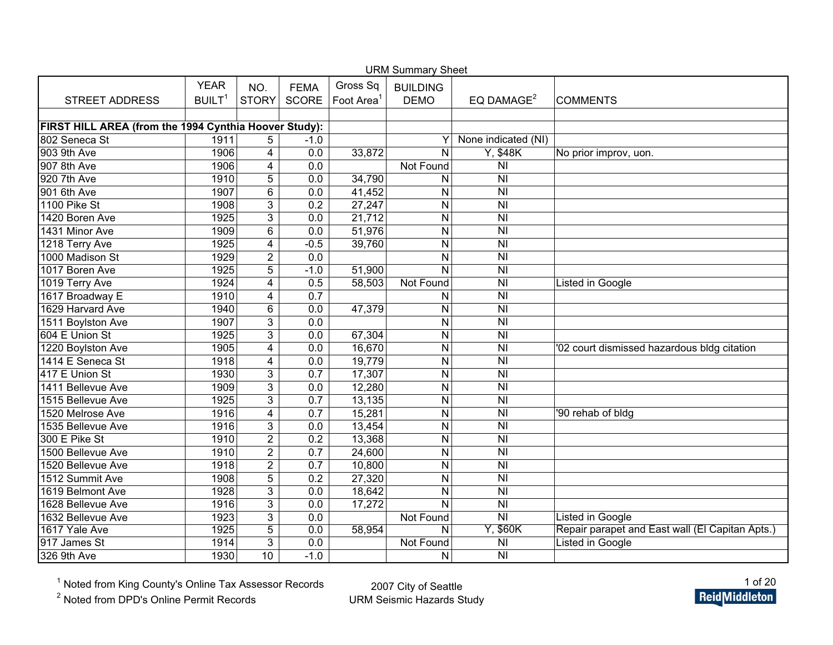| <b>URM Summary Sheet</b>                              |                    |                         |                  |                        |                         |                                              |                                                 |  |  |  |  |
|-------------------------------------------------------|--------------------|-------------------------|------------------|------------------------|-------------------------|----------------------------------------------|-------------------------------------------------|--|--|--|--|
|                                                       | <b>YEAR</b>        | NO.                     | <b>FEMA</b>      | Gross Sq               | <b>BUILDING</b>         |                                              |                                                 |  |  |  |  |
| <b>STREET ADDRESS</b>                                 | BUILT <sup>1</sup> | <b>STORY</b>            | <b>SCORE</b>     | Foot Area <sup>1</sup> | <b>DEMO</b>             | EQ DAMAGE <sup>2</sup>                       | <b>COMMENTS</b>                                 |  |  |  |  |
|                                                       |                    |                         |                  |                        |                         |                                              |                                                 |  |  |  |  |
| FIRST HILL AREA (from the 1994 Cynthia Hoover Study): |                    |                         |                  |                        |                         |                                              |                                                 |  |  |  |  |
| 802 Seneca St                                         | 1911               | 5                       | $-1.0$           |                        | Y                       | None indicated (NI)                          |                                                 |  |  |  |  |
| 903 9th Ave                                           | 1906               | $\overline{4}$          | 0.0              | 33,872                 | $\mathsf{N}$            | Y, \$48K                                     | No prior improv, uon.                           |  |  |  |  |
| 907 8th Ave                                           | 1906               | $\overline{4}$          | 0.0              |                        | Not Found               | $\overline{\overline{\mathsf{N}}\mathsf{I}}$ |                                                 |  |  |  |  |
| 920 7th Ave                                           | 1910               | $\overline{5}$          | 0.0              | 34,790                 | $\mathsf{N}$            | N <sub>l</sub>                               |                                                 |  |  |  |  |
| 901 6th Ave                                           | 1907               | $\overline{6}$          | 0.0              | 41,452                 | $\overline{N}$          | $\overline{N}$                               |                                                 |  |  |  |  |
| 1100 Pike St                                          | 1908               | $\overline{3}$          | 0.2              | 27,247                 | $\mathsf{N}$            | $\overline{N}$                               |                                                 |  |  |  |  |
| 1420 Boren Ave                                        | 1925               | $\overline{3}$          | 0.0              | 21,712                 | $\mathsf{N}$            | N <sub>l</sub>                               |                                                 |  |  |  |  |
| 1431 Minor Ave                                        | 1909               | 6                       | 0.0              | 51,976                 | N                       | $\overline{\overline{N}}$                    |                                                 |  |  |  |  |
| 1218 Terry Ave                                        | 1925               | 4                       | $-0.5$           | 39,760                 | N                       | $\overline{\overline{N}}$                    |                                                 |  |  |  |  |
| 1000 Madison St                                       | 1929               | $\overline{2}$          | $\overline{0.0}$ |                        | $\overline{N}$          | $\overline{N}$                               |                                                 |  |  |  |  |
| 1017 Boren Ave                                        | 1925               | $\overline{5}$          | $-1.0$           | 51,900                 | N                       | $\overline{\overline{N}}$                    |                                                 |  |  |  |  |
| 1019 Terry Ave                                        | 1924               | 4                       | 0.5              | 58,503                 | Not Found               | <b>NI</b>                                    | Listed in Google                                |  |  |  |  |
| 1617 Broadway E                                       | 1910               | $\overline{4}$          | $\overline{0.7}$ |                        | $\mathsf{N}$            | $\overline{N}$                               |                                                 |  |  |  |  |
| 1629 Harvard Ave                                      | 1940               | 6                       | 0.0              | 47,379                 | N                       | N <sub>l</sub>                               |                                                 |  |  |  |  |
| 1511 Boylston Ave                                     | 1907               | $\overline{3}$          | $\overline{0.0}$ |                        | ${\sf N}$               | $\overline{\overline{N}}$                    |                                                 |  |  |  |  |
| 604 E Union St                                        | 1925               | $\overline{3}$          | 0.0              | 67,304                 | $\overline{N}$          | N <sub>l</sub>                               |                                                 |  |  |  |  |
| 1220 Boylston Ave                                     | 1905               | 4                       | 0.0              | 16,670                 | $\mathsf{N}$            | N <sub>l</sub>                               | '02 court dismissed hazardous bldg citation     |  |  |  |  |
| 1414 E Seneca St                                      | 1918               | 4                       | 0.0              | 19,779                 | $\mathsf{N}$            | N <sub>l</sub>                               |                                                 |  |  |  |  |
| 417 E Union St                                        | 1930               | $\overline{3}$          | 0.7              | 17,307                 | ${\sf N}$               | $\overline{\overline{N}}$                    |                                                 |  |  |  |  |
| 1411 Bellevue Ave                                     | 1909               | $\overline{3}$          | 0.0              | 12,280                 | $\mathsf{N}$            | $\overline{N}$                               |                                                 |  |  |  |  |
| 1515 Bellevue Ave                                     | 1925               | $\overline{3}$          | 0.7              | 13,135                 | $\mathsf{N}$            | $\overline{N}$                               |                                                 |  |  |  |  |
| 1520 Melrose Ave                                      | 1916               | $\overline{\mathbf{4}}$ | 0.7              | 15,281                 | ${\sf N}$               | $\overline{\overline{N}}$                    | '90 rehab of bldg                               |  |  |  |  |
| 1535 Bellevue Ave                                     | 1916               | 3                       | 0.0              | 13,454                 | N                       | $\overline{N}$                               |                                                 |  |  |  |  |
| 300 E Pike St                                         | 1910               | $\overline{2}$          | 0.2              | 13,368                 | ${\sf N}$               | $\overline{\overline{N}}$                    |                                                 |  |  |  |  |
| 1500 Bellevue Ave                                     | 1910               | $\overline{2}$          | 0.7              | 24,600                 | $\mathsf{N}$            | $\overline{N}$                               |                                                 |  |  |  |  |
| 1520 Bellevue Ave                                     | 1918               | $\overline{2}$          | 0.7              | 10,800                 | $\mathsf{N}$            | $\overline{\overline{N}}$                    |                                                 |  |  |  |  |
| 1512 Summit Ave                                       | 1908               | $\overline{5}$          | 0.2              | 27,320                 | $\mathsf{N}$            | $\overline{\overline{N}}$                    |                                                 |  |  |  |  |
| 1619 Belmont Ave                                      | 1928               | $\overline{3}$          | 0.0              | 18,642                 | $\mathsf{N}$            | $\overline{\overline{N}}$                    |                                                 |  |  |  |  |
| 1628 Bellevue Ave                                     | 1916               | 3                       | 0.0              | 17,272                 | $\overline{N}$          | $\overline{N}$                               |                                                 |  |  |  |  |
| 1632 Bellevue Ave                                     | 1923               | $\overline{3}$          | 0.0              |                        | Not Found               | $\overline{\mathsf{N}}$                      | <b>Listed in Google</b>                         |  |  |  |  |
| 1617 Yale Ave                                         | 1925               | $\overline{5}$          | 0.0              | 58,954                 | $\overline{\mathsf{N}}$ | Y, \$60K                                     | Repair parapet and East wall (El Capitan Apts.) |  |  |  |  |
| 917 James St                                          | 1914               | 3                       | 0.0              |                        | Not Found               | $\overline{\overline{N}}$                    | <b>Listed in Google</b>                         |  |  |  |  |
| 326 9th Ave                                           | 1930               | 10                      | $-1.0$           |                        | N                       | N <sub>l</sub>                               |                                                 |  |  |  |  |

<sup>2</sup> Noted from DPD's Online Permit Records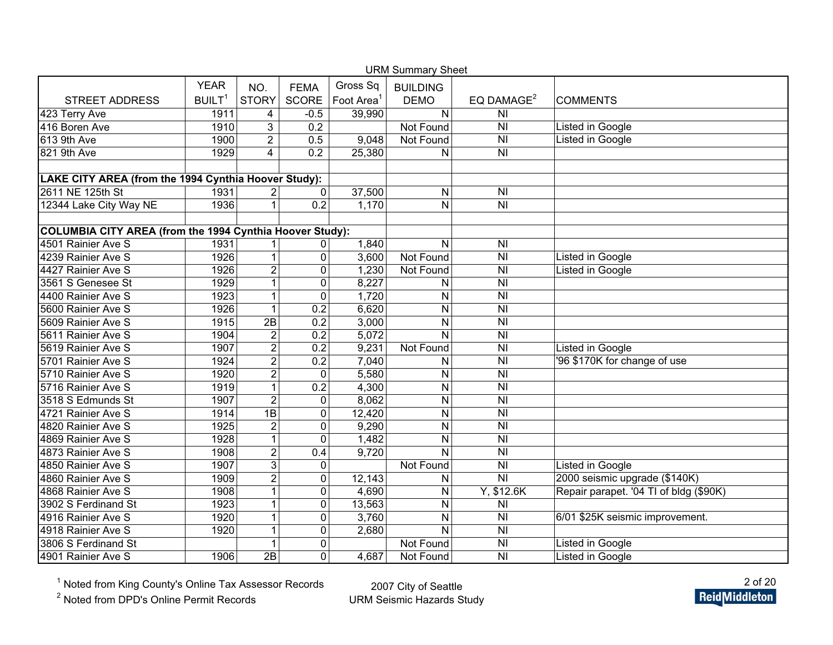| <b>URM Summary Sheet</b>                                 |                    |                |                     |                     |                 |                                    |                                        |  |  |  |  |
|----------------------------------------------------------|--------------------|----------------|---------------------|---------------------|-----------------|------------------------------------|----------------------------------------|--|--|--|--|
|                                                          | <b>YEAR</b>        | NO.            | <b>FEMA</b>         | Gross Sq            | <b>BUILDING</b> |                                    |                                        |  |  |  |  |
| <b>STREET ADDRESS</b>                                    | BUILT <sup>1</sup> | <b>STORY</b>   | <b>SCORE</b>        | Foot Area           | <b>DEMO</b>     | EQ DAMAGE <sup>2</sup>             | <b>COMMENTS</b>                        |  |  |  |  |
| 423 Terry Ave                                            | 1911               | 4              | $-0.5$              | 39,990              | N               | N <sub>l</sub>                     |                                        |  |  |  |  |
| 416 Boren Ave                                            | 1910               | 3              | 0.2                 |                     | Not Found       | N <sub>l</sub>                     | Listed in Google                       |  |  |  |  |
| $613$ 9th Ave                                            | 1900               | $\overline{2}$ | 0.5                 | 9,048               | Not Found       | $\overline{\overline{N}}$          | Listed in Google                       |  |  |  |  |
| 821 9th Ave                                              | 1929               | $\overline{4}$ | 0.2                 | 25,380              | N               | $\overline{N}$                     |                                        |  |  |  |  |
|                                                          |                    |                |                     |                     |                 |                                    |                                        |  |  |  |  |
| LAKE CITY AREA (from the 1994 Cynthia Hoover Study):     |                    |                |                     |                     |                 |                                    |                                        |  |  |  |  |
| 2611 NE 125th St                                         | 1931               | $\overline{2}$ | $\mathbf{0}$        | $\overline{37,500}$ | N               | N <sub>l</sub>                     |                                        |  |  |  |  |
| 12344 Lake City Way NE                                   | 1936               | 1              | 0.2                 | 1,170               | N               | N <sub>l</sub>                     |                                        |  |  |  |  |
|                                                          |                    |                |                     |                     |                 |                                    |                                        |  |  |  |  |
| COLUMBIA CITY AREA (from the 1994 Cynthia Hoover Study): |                    |                |                     |                     |                 |                                    |                                        |  |  |  |  |
| 4501 Rainier Ave S                                       | 1931               | 1              | $\mathbf{0}$        | 1,840               | N               | N <sub>l</sub>                     |                                        |  |  |  |  |
| 4239 Rainier Ave S                                       | 1926               | 1              | $\overline{0}$      | 3,600               | Not Found       | $\overline{\overline{N}}$          | Listed in Google                       |  |  |  |  |
| 4427 Rainier Ave S                                       | 1926               | $\overline{2}$ | $\overline{0}$      | 1,230               | Not Found       | <b>NI</b>                          | Listed in Google                       |  |  |  |  |
| 3561 S Genesee St                                        | 1929               | 1              | $\mathbf 0$         | 8,227               | Ν               | <b>NI</b>                          |                                        |  |  |  |  |
| 4400 Rainier Ave S                                       | 1923               | 1              | $\mathbf{0}$        | 1,720               | N               | $\overline{\overline{N}}$          |                                        |  |  |  |  |
| 5600 Rainier Ave S                                       | 1926               | $\mathbf{1}$   | $\overline{0.2}$    | 6,620               | N               | <b>NI</b>                          |                                        |  |  |  |  |
| 5609 Rainier Ave S                                       | 1915               | 2B             | 0.2                 | 3,000               | N               | <b>NI</b>                          |                                        |  |  |  |  |
| 5611 Rainier Ave S                                       | 1904               | $\overline{2}$ | 0.2                 | 5,072               | N               | N <sub>l</sub>                     |                                        |  |  |  |  |
| 5619 Rainier Ave S                                       | 1907               | $\overline{2}$ | 0.2                 | 9,231               | Not Found       | <b>NI</b>                          | Listed in Google                       |  |  |  |  |
| 5701 Rainier Ave S                                       | 1924               | $\overline{2}$ | 0.2                 | 7,040               | N               | N <sub>l</sub>                     | '96 \$170K for change of use           |  |  |  |  |
| 5710 Rainier Ave S                                       | 1920               | $\overline{2}$ | $\overline{0}$      | 5,580               | N               | N <sub>l</sub>                     |                                        |  |  |  |  |
| 5716 Rainier Ave S                                       | 1919               | 1              | 0.2                 | 4,300               | N               | $\overline{N}$                     |                                        |  |  |  |  |
| 3518 S Edmunds St                                        | 1907               | $\overline{2}$ | $\mathbf 0$         | 8,062               | N               | $\overline{\overline{N}}$          |                                        |  |  |  |  |
| 4721 Rainier Ave S                                       | 1914               | 1B             | $\boldsymbol{0}$    | 12,420              | N               | $\overline{\overline{N}}$          |                                        |  |  |  |  |
| 4820 Rainier Ave S                                       | 1925               | $\overline{2}$ | $\mathbf 0$         | 9,290               | N               | N <sub>l</sub>                     |                                        |  |  |  |  |
| 4869 Rainier Ave S                                       | 1928               | $\mathbf{1}$   | $\mathbf 0$         | 1,482               | N               | N <sub>l</sub>                     |                                        |  |  |  |  |
| 4873 Rainier Ave S                                       | 1908               | $\overline{2}$ | 0.4                 | 9,720               | N               | $\overline{N}$                     |                                        |  |  |  |  |
| 4850 Rainier Ave S                                       | 1907               | $\overline{3}$ | $\mathbf 0$         |                     | Not Found       | N <sub>l</sub>                     | <b>Listed in Google</b>                |  |  |  |  |
| 4860 Rainier Ave S                                       | 1909               | $\overline{2}$ | $\mathbf 0$         | 12,143              | Ν               | $\overline{\overline{\mathsf{N}}}$ | 2000 seismic upgrade (\$140K)          |  |  |  |  |
| 4868 Rainier Ave S                                       | 1908               | $\mathbf{1}$   | $\boldsymbol{0}$    | 4,690               | Ν               | Y, \$12.6K                         | Repair parapet. '04 TI of bldg (\$90K) |  |  |  |  |
| 3902 S Ferdinand St                                      | 1923               | $\mathbf{1}$   | $\mathbf 0$         | 13,563              | N               | N <sub>l</sub>                     |                                        |  |  |  |  |
| 4916 Rainier Ave S                                       | 1920               | $\mathbf{1}$   | $\mathbf 0$         | 3,760               | N               | N <sub>l</sub>                     | 6/01 \$25K seismic improvement.        |  |  |  |  |
| 4918 Rainier Ave S                                       | 1920               | $\mathbf{1}$   | $\mathsf{O}\xspace$ | 2,680               | N               | $\overline{N}$                     |                                        |  |  |  |  |
| 3806 S Ferdinand St                                      |                    | 1              | $\mathbf 0$         |                     | Not Found       | N <sub>l</sub>                     | Listed in Google                       |  |  |  |  |
| 4901 Rainier Ave S                                       | 1906               | 2B             | $\overline{0}$      | 4,687               | Not Found       | N <sub>l</sub>                     | Listed in Google                       |  |  |  |  |

<sup>2</sup> Noted from DPD's Online Permit Records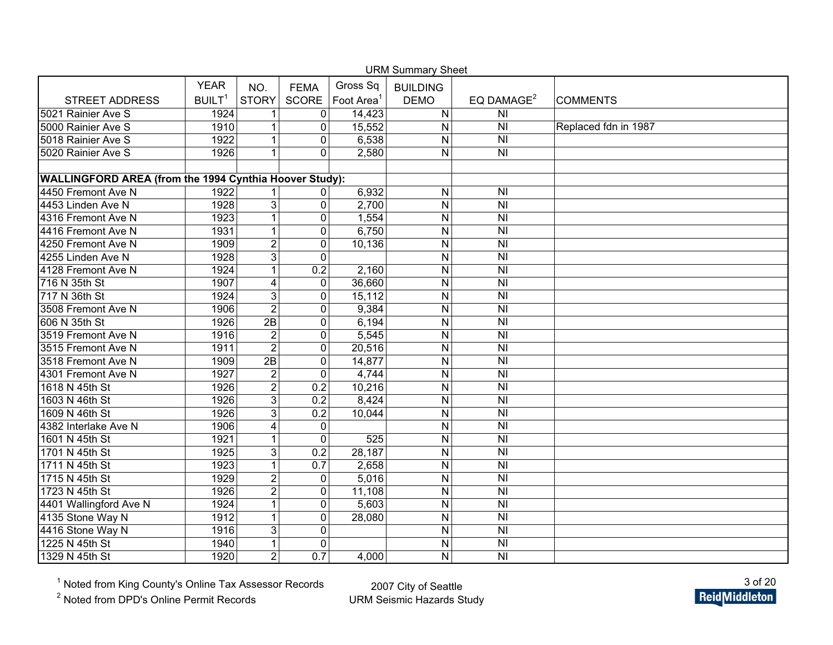|                                                        |                    |                |                  | <b>URM Summary Sheet</b> |                 |                           |                      |
|--------------------------------------------------------|--------------------|----------------|------------------|--------------------------|-----------------|---------------------------|----------------------|
|                                                        | <b>YEAR</b>        | NO.            | <b>FEMA</b>      | Gross Sq                 | <b>BUILDING</b> |                           |                      |
| <b>STREET ADDRESS</b>                                  | BUILT <sup>1</sup> | <b>STORY</b>   | <b>SCORE</b>     | Foot Area <sup>1</sup>   | <b>DEMO</b>     | EQ DAMAGE <sup>2</sup>    | <b>COMMENTS</b>      |
| 5021 Rainier Ave S                                     | 1924               |                | $\mathbf 0$      | 14,423                   | $\mathsf{N}$    | N <sub>l</sub>            |                      |
| 5000 Rainier Ave S                                     | 1910               | 1              | $\mathbf 0$      | 15,552                   | $\mathsf{N}$    | N <sub>l</sub>            | Replaced fdn in 1987 |
| 5018 Rainier Ave S                                     | 1922               | $\mathbf{1}$   | $\mathbf 0$      | 6,538                    | N               | $\overline{N}$            |                      |
| 5020 Rainier Ave S                                     | 1926               | $\mathbf{1}$   | $\mathbf 0$      | 2,580                    | N               | $\overline{N}$            |                      |
|                                                        |                    |                |                  |                          |                 |                           |                      |
| WALLINGFORD AREA (from the 1994 Cynthia Hoover Study): |                    |                |                  |                          |                 |                           |                      |
| 4450 Fremont Ave N                                     | 1922               |                | 0                | 6,932                    | ${\sf N}$       | $\overline{N}$            |                      |
| 4453 Linden Ave N                                      | 1928               | $\overline{3}$ | $\pmb{0}$        | 2,700                    | $\overline{N}$  | $\overline{N}$            |                      |
| 4316 Fremont Ave N                                     | 1923               | 1              | $\mathbf 0$      | 1,554                    | $\mathsf{N}$    | N <sub>l</sub>            |                      |
| 4416 Fremont Ave N                                     | 1931               | 1              | $\mathbf 0$      | 6,750                    | $\mathsf{N}$    | $\overline{N}$            |                      |
| 4250 Fremont Ave N                                     | 1909               | $\overline{c}$ | $\pmb{0}$        | 10,136                   | $\mathsf{N}$    | $\overline{N}$            |                      |
| 4255 Linden Ave N                                      | 1928               | $\overline{3}$ | $\Omega$         |                          | N               | $\overline{N}$            |                      |
| 4128 Fremont Ave N                                     | 1924               | $\mathbf{1}$   | $\overline{0.2}$ | 2,160                    | $\mathsf{N}$    | $\overline{N}$            |                      |
| 716 N 35th St                                          | 1907               | 4              | $\pmb{0}$        | 36,660                   | $\mathsf{N}$    | <b>NI</b>                 |                      |
| 717 N 36th St                                          | 1924               | $\overline{3}$ | $\mathbf 0$      | 15,112                   | $\overline{N}$  | $\overline{\overline{N}}$ |                      |
| 3508 Fremont Ave N                                     | 1906               | $\overline{2}$ | $\pmb{0}$        | 9,384                    | N               | N <sub>l</sub>            |                      |
| 606 N 35th St                                          | 1926               | 2B             | $\mathbf 0$      | 6,194                    | N               | $\overline{N}$            |                      |
| 3519 Fremont Ave N                                     | 1916               | $\overline{2}$ | $\pmb{0}$        | 5,545                    | $\mathsf{N}$    | <b>NI</b>                 |                      |
| 3515 Fremont Ave N                                     | 1911               | $\overline{2}$ | $\pmb{0}$        | 20,516                   | ${\sf N}$       | N <sub>l</sub>            |                      |
| 3518 Fremont Ave N                                     | 1909               | 2B             | $\pmb{0}$        | 14,877                   | $\overline{N}$  | $\overline{N}$            |                      |
| 4301 Fremont Ave N                                     | 1927               | $\overline{2}$ | $\mathbf 0$      | 4,744                    | $\mathsf{N}$    | N <sub>l</sub>            |                      |
| 1618 N 45th St                                         | 1926               | $\overline{2}$ | 0.2              | 10,216                   | $\mathsf{N}$    | $\overline{N}$            |                      |
| 1603 N 46th St                                         | 1926               | 3              | 0.2              | 8,424                    | $\mathsf{N}$    | N <sub>l</sub>            |                      |
| 1609 N 46th St                                         | 1926               | $\overline{3}$ | 0.2              | 10,044                   | ${\sf N}$       | $\overline{N}$            |                      |
| 4382 Interlake Ave N                                   | 1906               | 4              | $\mathbf 0$      |                          | $\mathsf{N}$    | $\overline{N}$            |                      |
| 1601 N 45th St                                         | 1921               | 1              | $\mathbf 0$      | 525                      | ${\sf N}$       | N <sub>l</sub>            |                      |
| 1701 N 45th St                                         | 1925               | $\overline{3}$ | 0.2              | 28,187                   | $\mathsf{N}$    | $\overline{N}$            |                      |
| 1711 N 45th St                                         | 1923               | 1              | 0.7              | 2,658                    | N               | $\overline{N}$            |                      |
| 1715 N 45th St                                         | 1929               | $\overline{2}$ | $\mathbf 0$      | 5,016                    | $\mathsf{N}$    | $\overline{\overline{N}}$ |                      |
| 1723 N 45th St                                         | 1926               | $\overline{2}$ | $\pmb{0}$        | 11,108                   | N               | $\overline{\overline{N}}$ |                      |
| 4401 Wallingford Ave N                                 | 1924               | $\mathbf{1}$   | $\pmb{0}$        | 5,603                    | ${\sf N}$       | N <sub>l</sub>            |                      |
| 4135 Stone Way N                                       | 1912               | $\mathbf{1}$   | $\pmb{0}$        | 28,080                   | $\overline{N}$  | $\overline{N}$            |                      |
| 4416 Stone Way N                                       | 1916               | $\overline{3}$ | $\mathbf 0$      |                          | $\overline{N}$  | $\overline{N}$            |                      |
| 1225 N 45th St                                         | 1940               | 1              | $\mathbf 0$      |                          | ${\sf N}$       | $\overline{\overline{N}}$ |                      |
| 1329 N 45th St                                         | 1920               | $\overline{2}$ | 0.7              | 4,000                    | N               | $\overline{N}$            |                      |

<sup>2</sup> Noted from DPD's Online Permit Records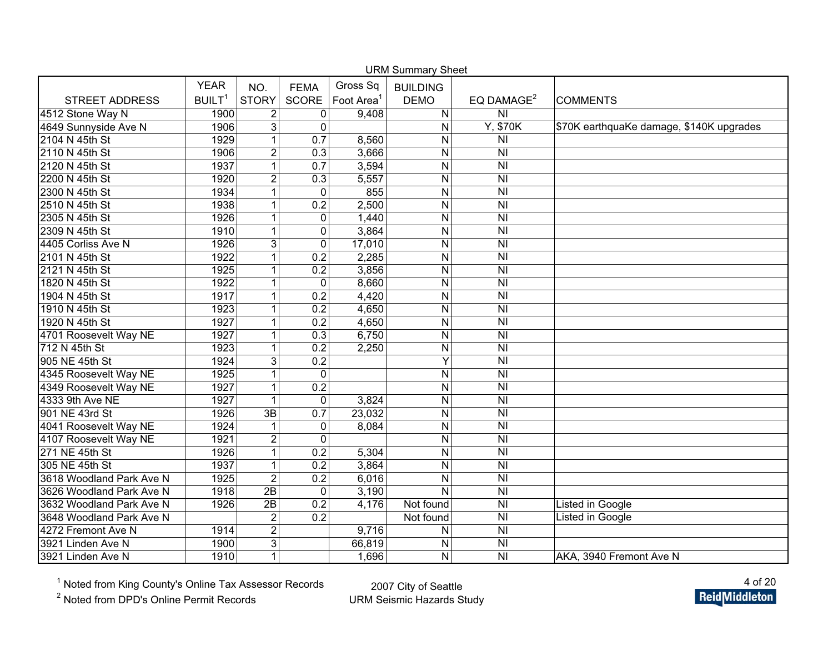| <b>URM Summary Sheet</b> |                    |                  |                  |                        |                         |                                                         |                                          |  |  |  |
|--------------------------|--------------------|------------------|------------------|------------------------|-------------------------|---------------------------------------------------------|------------------------------------------|--|--|--|
|                          | <b>YEAR</b>        | NO.              | <b>FEMA</b>      | Gross Sq               | <b>BUILDING</b>         |                                                         |                                          |  |  |  |
| <b>STREET ADDRESS</b>    | BUILT <sup>1</sup> | <b>STORY</b>     | SCORE            | Foot Area <sup>1</sup> | <b>DEMO</b>             | EQ DAMAGE <sup>2</sup>                                  | <b>COMMENTS</b>                          |  |  |  |
| 4512 Stone Way N         | 1900               | $\overline{2}$   | 0                | 9,408                  | ${\sf N}$               | N <sub>l</sub>                                          |                                          |  |  |  |
| 4649 Sunnyside Ave N     | 1906               | 3                | $\mathbf 0$      |                        | N                       | Y, \$70K                                                | \$70K earthquaKe damage, \$140K upgrades |  |  |  |
| 2104 N 45th St           | 1929               | $\mathbf{1}$     | $\overline{0.7}$ | 8,560                  | N                       | N <sub>l</sub>                                          |                                          |  |  |  |
| 2110 N 45th St           | 1906               | $\overline{2}$   | 0.3              | 3,666                  | N                       | N <sub>l</sub>                                          |                                          |  |  |  |
| 2120 N 45th St           | 1937               | $\mathbf{1}$     | 0.7              | 3,594                  | $\mathsf{N}$            | N <sub>l</sub>                                          |                                          |  |  |  |
| 2200 N 45th St           | 1920               | $\overline{2}$   | 0.3              | 5,557                  | $\overline{N}$          | $\overline{\overline{\mathsf{N}}}$                      |                                          |  |  |  |
| 2300 N 45th St           | 1934               | $\mathbf{1}$     | $\mathbf 0$      | 855                    | $\mathsf{N}$            | $\overline{\overline{\mathsf{N}}}$                      |                                          |  |  |  |
| 2510 N 45th St           | 1938               | $\mathbf{1}$     | $\overline{0.2}$ | 2,500                  | N                       | $\overline{\overline{N}}$                               |                                          |  |  |  |
| 2305 N 45th St           | 1926               | $\mathbf{1}$     | $\mathbf 0$      | 1,440                  | N                       | $\overline{\overline{\mathsf{N}}}$                      |                                          |  |  |  |
| 2309 N 45th St           | 1910               | $\mathbf{1}$     | $\mathbf 0$      | 3,864                  | N                       | $\overline{\overline{\mathsf{N}}}$                      |                                          |  |  |  |
| 4405 Corliss Ave N       | 1926               | $\overline{3}$   | $\overline{0}$   | 17,010                 | N                       | $\overline{\overline{\mathsf{N}}\overline{\mathsf{N}}}$ |                                          |  |  |  |
| 2101 N 45th St           | 1922               | 1                | 0.2              | 2,285                  | N                       | $\overline{\overline{\mathsf{N}}}$                      |                                          |  |  |  |
| 2121 N 45th St           | 1925               | 1                | 0.2              | 3,856                  | N                       | $\overline{\overline{\mathsf{N}}}$                      |                                          |  |  |  |
| 1820 N 45th St           | 1922               | $\mathbf{1}$     | $\mathbf 0$      | 8,660                  | N                       | $\overline{\overline{\mathsf{N}}}$                      |                                          |  |  |  |
| 1904 N 45th St           | 1917               | $\mathbf{1}$     | 0.2              | 4,420                  | N                       | $\overline{\overline{\mathsf{N}}}$                      |                                          |  |  |  |
| 1910 N 45th St           | 1923               | $\mathbf{1}$     | 0.2              | 4,650                  | N                       | N <sub>l</sub>                                          |                                          |  |  |  |
| 1920 N 45th St           | 1927               | $\mathbf{1}$     | $\overline{0.2}$ | 4,650                  | $\mathsf{N}$            | $\overline{\overline{\mathsf{N}}}$                      |                                          |  |  |  |
| 4701 Roosevelt Way NE    | 1927               | $\mathbf{1}$     | 0.3              | 6,750                  | $\mathsf{N}$            | N <sub>l</sub>                                          |                                          |  |  |  |
| 712 N 45th St            | 1923               | $\mathbf{1}$     | 0.2              | 2,250                  | N                       | N <sub>l</sub>                                          |                                          |  |  |  |
| 905 NE 45th St           | 1924               | $\overline{3}$   | $\overline{0.2}$ |                        | Ÿ                       | $\overline{\overline{\mathsf{N}}}$                      |                                          |  |  |  |
| 4345 Roosevelt Way NE    | 1925               | 1                | $\mathbf 0$      |                        | N                       | $\overline{\overline{N}}$                               |                                          |  |  |  |
| 4349 Roosevelt Way NE    | 1927               | $\mathbf{1}$     | 0.2              |                        | N                       | $\overline{N}$                                          |                                          |  |  |  |
| 4333 9th Ave NE          | 1927               | $\mathbf{1}$     | $\mathbf 0$      | 3,824                  | $\mathsf{N}$            | $\overline{\overline{\mathsf{N}}}$                      |                                          |  |  |  |
| 901 NE 43rd St           | 1926               | $\overline{3B}$  | 0.7              | 23,032                 | N                       | $\overline{\overline{\mathsf{N}}}$                      |                                          |  |  |  |
| 4041 Roosevelt Way NE    | 1924               |                  | $\pmb{0}$        | 8,084                  | N                       | $\overline{\overline{N}}$                               |                                          |  |  |  |
| 4107 Roosevelt Way NE    | 1921               | $\overline{2}$   | $\mathbf 0$      |                        | N                       | $\overline{\overline{N}}$                               |                                          |  |  |  |
| 271 NE 45th St           | 1926               | $\overline{1}$   | 0.2              | 5,304                  | N                       | N <sub>l</sub>                                          |                                          |  |  |  |
| 305 NE 45th St           | 1937               | $\mathbf{1}$     | 0.2              | 3,864                  | $\overline{\mathsf{N}}$ | $\overline{\overline{\mathsf{N}}\overline{\mathsf{N}}}$ |                                          |  |  |  |
| 3618 Woodland Park Ave N | 1925               | $\overline{2}$   | $\overline{0.2}$ | 6,016                  | N                       | $\overline{\overline{\mathsf{N}}}$                      |                                          |  |  |  |
| 3626 Woodland Park Ave N | 1918               | $\overline{2B}$  | $\mathbf 0$      | 3,190                  | $\overline{N}$          | $\overline{\overline{N}}$                               |                                          |  |  |  |
| 3632 Woodland Park Ave N | 1926               | $\overline{2B}$  | 0.2              | 4,176                  | Not found               | N <sub>l</sub>                                          | <b>Listed in Google</b>                  |  |  |  |
| 3648 Woodland Park Ave N |                    | $\boldsymbol{2}$ | $\overline{0.2}$ |                        | Not found               | $\overline{\overline{\mathsf{N}}}$                      | Listed in Google                         |  |  |  |
| 4272 Fremont Ave N       | 1914               | $\overline{2}$   |                  | 9,716                  | N                       | N <sub>l</sub>                                          |                                          |  |  |  |
| 3921 Linden Ave N        | 1900               | 3                |                  | 66,819                 | N                       | $\overline{\overline{\mathsf{N}}}$                      |                                          |  |  |  |
| 3921 Linden Ave N        | 1910               | $\mathbf{1}$     |                  | 1,696                  | ${\sf N}$               | N <sub>l</sub>                                          | AKA, 3940 Fremont Ave N                  |  |  |  |

<sup>2</sup> Noted from DPD's Online Permit Records

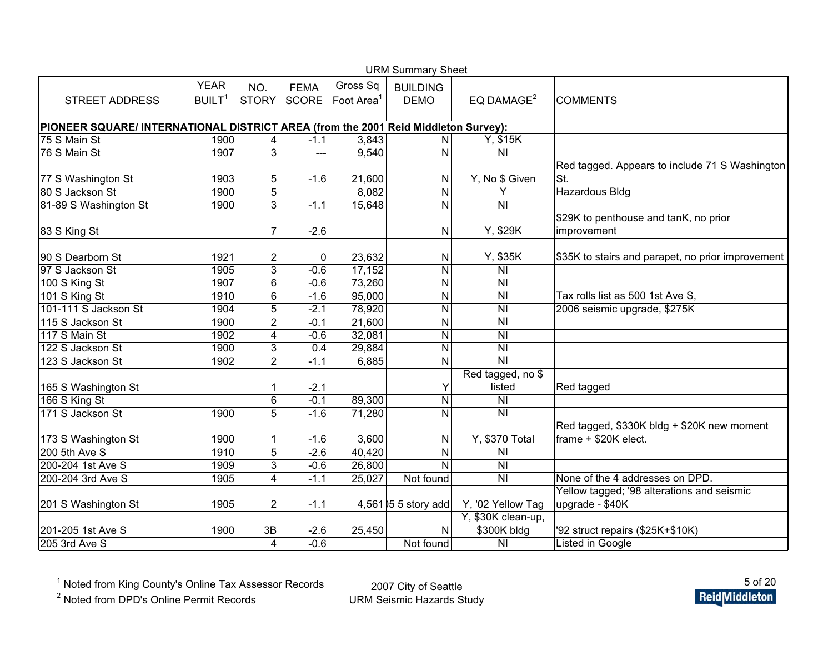| <b>URM Summary Sheet</b>                                                           |                    |                |              |           |                      |                    |                                                   |  |  |  |  |
|------------------------------------------------------------------------------------|--------------------|----------------|--------------|-----------|----------------------|--------------------|---------------------------------------------------|--|--|--|--|
|                                                                                    | <b>YEAR</b>        | NO.            | <b>FEMA</b>  | Gross Sq  | <b>BUILDING</b>      |                    |                                                   |  |  |  |  |
| <b>STREET ADDRESS</b>                                                              | BUILT <sup>1</sup> | <b>STORY</b>   | <b>SCORE</b> | Foot Area | <b>DEMO</b>          | EQ DAMAGE $2$      | <b>COMMENTS</b>                                   |  |  |  |  |
|                                                                                    |                    |                |              |           |                      |                    |                                                   |  |  |  |  |
| PIONEER SQUARE/ INTERNATIONAL DISTRICT AREA (from the 2001 Reid Middleton Survey): |                    |                |              |           |                      |                    |                                                   |  |  |  |  |
| 75 S Main St                                                                       | 1900               | 4              | $-1.1$       | 3,843     | N                    | Y, \$15K           |                                                   |  |  |  |  |
| 76 S Main St                                                                       | 1907               | 3              | ---          | 9,540     | N                    | N <sub>l</sub>     |                                                   |  |  |  |  |
|                                                                                    |                    |                |              |           |                      |                    | Red tagged. Appears to include 71 S Washington    |  |  |  |  |
| 77 S Washington St                                                                 | 1903               | 5              | $-1.6$       | 21,600    | N                    | Y, No \$ Given     | St.                                               |  |  |  |  |
| 80 S Jackson St                                                                    | 1900               | 5              |              | 8,082     | N                    | Y                  | <b>Hazardous Bldg</b>                             |  |  |  |  |
| 81-89 S Washington St                                                              | 1900               | 3              | $-1.1$       | 15,648    | N                    | $\overline{N}$     |                                                   |  |  |  |  |
|                                                                                    |                    |                |              |           |                      |                    | \$29K to penthouse and tanK, no prior             |  |  |  |  |
| 83 S King St                                                                       |                    | 7              | $-2.6$       |           | N                    | Y, \$29K           | improvement                                       |  |  |  |  |
|                                                                                    |                    |                |              |           |                      |                    |                                                   |  |  |  |  |
| 90 S Dearborn St                                                                   | 1921               | $\overline{c}$ | 0            | 23,632    | N                    | Y, \$35K           | \$35K to stairs and parapet, no prior improvement |  |  |  |  |
| 97 S Jackson St                                                                    | 1905               | $\overline{3}$ | $-0.6$       | 17,152    | N                    | <b>NI</b>          |                                                   |  |  |  |  |
| 100 S King St                                                                      | 1907               | $\overline{6}$ | $-0.6$       | 73,260    | N                    | N <sub>l</sub>     |                                                   |  |  |  |  |
| 101 S King St                                                                      | 1910               | $\overline{6}$ | $-1.6$       | 95,000    | N                    | N <sub>l</sub>     | Tax rolls list as 500 1st Ave S.                  |  |  |  |  |
| 101-111 S Jackson St                                                               | 1904               | $\overline{5}$ | $-2.1$       | 78,920    | N                    | N <sub>l</sub>     | 2006 seismic upgrade, \$275K                      |  |  |  |  |
| 115 S Jackson St                                                                   | 1900               | $\overline{2}$ | $-0.1$       | 21,600    | N                    | N <sub>l</sub>     |                                                   |  |  |  |  |
| 117 S Main St                                                                      | 1902               | 4              | $-0.6$       | 32,081    | N                    | N <sub>l</sub>     |                                                   |  |  |  |  |
| 122 S Jackson St                                                                   | 1900               | $\overline{3}$ | 0.4          | 29,884    | N                    | <b>NI</b>          |                                                   |  |  |  |  |
| 123 S Jackson St                                                                   | 1902               | $\overline{2}$ | $-1.1$       | 6,885     | N                    | $\overline{N}$     |                                                   |  |  |  |  |
|                                                                                    |                    |                |              |           |                      | Red tagged, no \$  |                                                   |  |  |  |  |
| 165 S Washington St                                                                |                    | 1              | $-2.1$       |           | Υ                    | listed             | Red tagged                                        |  |  |  |  |
| 166 S King St                                                                      |                    | $\,6$          | $-0.1$       | 89,300    | ${\sf N}$            | N <sub>l</sub>     |                                                   |  |  |  |  |
| 171 S Jackson St                                                                   | 1900               | 5              | $-1.6$       | 71,280    | N                    | N <sub>l</sub>     |                                                   |  |  |  |  |
|                                                                                    |                    |                |              |           |                      |                    | Red tagged, \$330K bldg + \$20K new moment        |  |  |  |  |
| 173 S Washington St                                                                | 1900               | 1              | $-1.6$       | 3,600     | N                    | Y, \$370 Total     | frame + \$20K elect.                              |  |  |  |  |
| 200 5th Ave S                                                                      | 1910               | 5              | $-2.6$       | 40,420    | N                    | N <sub>1</sub>     |                                                   |  |  |  |  |
| 200-204 1st Ave S                                                                  | 1909               | 3              | $-0.6$       | 26,800    | N                    | <b>NI</b>          |                                                   |  |  |  |  |
| 200-204 3rd Ave S                                                                  | 1905               | 4              | $-1.1$       | 25,027    | Not found            | N <sub>l</sub>     | None of the 4 addresses on DPD.                   |  |  |  |  |
|                                                                                    |                    |                |              |           |                      |                    | Yellow tagged; '98 alterations and seismic        |  |  |  |  |
| 201 S Washington St                                                                | 1905               | $\overline{c}$ | $-1.1$       |           | 4,561 05 5 story add | Y, '02 Yellow Tag  | upgrade - \$40K                                   |  |  |  |  |
|                                                                                    |                    |                |              |           |                      | Y, \$30K clean-up, |                                                   |  |  |  |  |
| 201-205 1st Ave S                                                                  | 1900               | 3B             | $-2.6$       | 25,450    | N                    | \$300K bldg        | '92 struct repairs (\$25K+\$10K)                  |  |  |  |  |
| 205 3rd Ave S                                                                      |                    | $\overline{4}$ | $-0.6$       |           | Not found            | N <sub>l</sub>     | Listed in Google                                  |  |  |  |  |

<sup>2</sup> Noted from DPD's Online Permit Records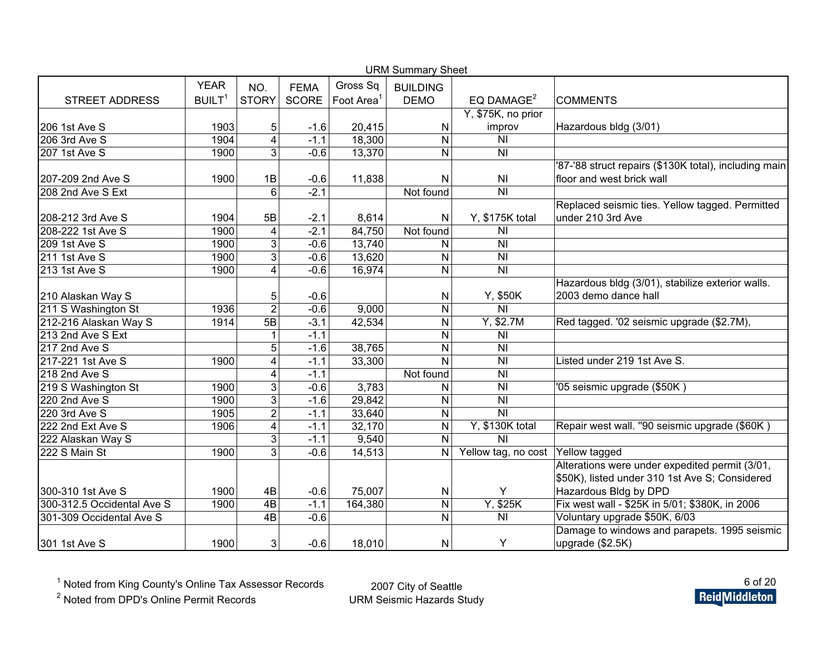| <b>URM Summary Sheet</b>   |                    |                         |             |                        |                 |                                                         |                                                       |  |  |  |  |
|----------------------------|--------------------|-------------------------|-------------|------------------------|-----------------|---------------------------------------------------------|-------------------------------------------------------|--|--|--|--|
|                            | <b>YEAR</b>        | NO.                     | <b>FEMA</b> | Gross Sq               | <b>BUILDING</b> |                                                         |                                                       |  |  |  |  |
| <b>STREET ADDRESS</b>      | BUILT <sup>1</sup> | <b>STORY</b>            | SCORE       | Foot Area <sup>1</sup> | <b>DEMO</b>     | EQ DAMAGE <sup>2</sup>                                  | <b>COMMENTS</b>                                       |  |  |  |  |
|                            |                    |                         |             |                        |                 | Y, \$75K, no prior                                      |                                                       |  |  |  |  |
| 206 1st Ave S              | 1903               | 5                       | $-1.6$      | 20,415                 | Ν               | improv                                                  | Hazardous bldg (3/01)                                 |  |  |  |  |
| 206 3rd Ave S              | 1904               | 4                       | $-1.1$      | 18,300                 | N               | N <sub>l</sub>                                          |                                                       |  |  |  |  |
| 207 1st Ave S              | 1900               | 3                       | $-0.6$      | 13,370                 | N               | <b>NI</b>                                               |                                                       |  |  |  |  |
|                            |                    |                         |             |                        |                 |                                                         | '87-'88 struct repairs (\$130K total), including main |  |  |  |  |
| 207-209 2nd Ave S          | 1900               | 1B                      | $-0.6$      | 11,838                 | N               | N <sub>1</sub>                                          | floor and west brick wall                             |  |  |  |  |
| 208 2nd Ave S Ext          |                    | $6\phantom{1}6$         | $-2.1$      |                        | Not found       | N <sub>l</sub>                                          |                                                       |  |  |  |  |
|                            |                    |                         |             |                        |                 |                                                         | Replaced seismic ties. Yellow tagged. Permitted       |  |  |  |  |
| 208-212 3rd Ave S          | 1904               | 5B                      | $-2.1$      | 8,614                  | N               | Y, \$175K total                                         | under 210 3rd Ave                                     |  |  |  |  |
| 208-222 1st Ave S          | 1900               | $\overline{\mathbf{4}}$ | $-2.1$      | 84,750                 | Not found       | <b>NI</b>                                               |                                                       |  |  |  |  |
| 209 1st Ave S              | 1900               | 3                       | $-0.6$      | 13,740                 | Ν               | N <sub>1</sub>                                          |                                                       |  |  |  |  |
| 211 1st Ave S              | 1900               | $\overline{3}$          | $-0.6$      | 13,620                 | Ν               | N <sub>1</sub>                                          |                                                       |  |  |  |  |
| 213 1st Ave S              | 1900               | $\overline{4}$          | $-0.6$      | 16,974                 | N               | N <sub>l</sub>                                          |                                                       |  |  |  |  |
|                            |                    |                         |             |                        |                 |                                                         | Hazardous bldg (3/01), stabilize exterior walls.      |  |  |  |  |
| 210 Alaskan Way S          |                    | 5                       | $-0.6$      |                        | N               | Y, \$50K                                                | 2003 demo dance hall                                  |  |  |  |  |
| 211 S Washington St        | 1936               | $\overline{2}$          | $-0.6$      | 9,000                  | N               | $\overline{N}$                                          |                                                       |  |  |  |  |
| 212-216 Alaskan Way S      | 1914               | 5B                      | $-3.1$      | 42,534                 | N               | Y, \$2.7M                                               | Red tagged. '02 seismic upgrade (\$2.7M),             |  |  |  |  |
| 213 2nd Ave S Ext          |                    | 1                       | $-1.1$      |                        | N               | N <sub>1</sub>                                          |                                                       |  |  |  |  |
| 217 2nd Ave S              |                    | 5                       | $-1.6$      | 38,765                 | N               | N <sub>l</sub>                                          |                                                       |  |  |  |  |
| 217-221 1st Ave S          | 1900               | 4                       | $-1.1$      | 33,300                 | N               | N <sub>l</sub>                                          | Listed under 219 1st Ave S.                           |  |  |  |  |
| 218 2nd Ave S              |                    | 4                       | $-1.1$      |                        | Not found       | <b>NI</b>                                               |                                                       |  |  |  |  |
| 219 S Washington St        | 1900               | 3                       | $-0.6$      | 3,783                  | N               | <b>NI</b>                                               | '05 seismic upgrade (\$50K)                           |  |  |  |  |
| 220 2nd Ave S              | 1900               | $\overline{3}$          | $-1.6$      | 29,842                 | N               | N <sub>l</sub>                                          |                                                       |  |  |  |  |
| 220 3rd Ave S              | 1905               | $\overline{2}$          | $-1.1$      | 33,640                 | N               | $\overline{\overline{\mathsf{N}}\overline{\mathsf{N}}}$ |                                                       |  |  |  |  |
| 222 2nd Ext Ave S          | 1906               | $\overline{\mathbf{4}}$ | $-1.1$      | 32,170                 | N               | Y, \$130K total                                         | Repair west wall. "90 seismic upgrade (\$60K)         |  |  |  |  |
| 222 Alaskan Way S          |                    | 3                       | $-1.1$      | 9,540                  | N               | $\overline{N}$                                          |                                                       |  |  |  |  |
| 222 S Main St              | 1900               | 3                       | $-0.6$      | 14,513                 | N               | Yellow tag, no cost                                     | Yellow tagged                                         |  |  |  |  |
|                            |                    |                         |             |                        |                 |                                                         | Alterations were under expedited permit (3/01,        |  |  |  |  |
|                            |                    |                         |             |                        |                 |                                                         | \$50K), listed under 310 1st Ave S; Considered        |  |  |  |  |
| 300-310 1st Ave S          | 1900               | 4B                      | $-0.6$      | 75,007                 | Ν               | Y                                                       | Hazardous Bldg by DPD                                 |  |  |  |  |
| 300-312.5 Occidental Ave S | 1900               | 4B                      | $-1.1$      | 164,380                | N               | Y, \$25K                                                | Fix west wall - \$25K in 5/01; \$380K, in 2006        |  |  |  |  |
| 301-309 Occidental Ave S   |                    | 4B                      | $-0.6$      |                        | N               | N <sub>l</sub>                                          | Voluntary upgrade \$50K, 6/03                         |  |  |  |  |
|                            |                    |                         |             |                        |                 |                                                         | Damage to windows and parapets. 1995 seismic          |  |  |  |  |
| 301 1st Ave S              | 1900               | 3                       | $-0.6$      | 18,010                 | Ν               | Y                                                       | upgrade (\$2.5K)                                      |  |  |  |  |

<sup>2</sup> Noted from DPD's Online Permit Records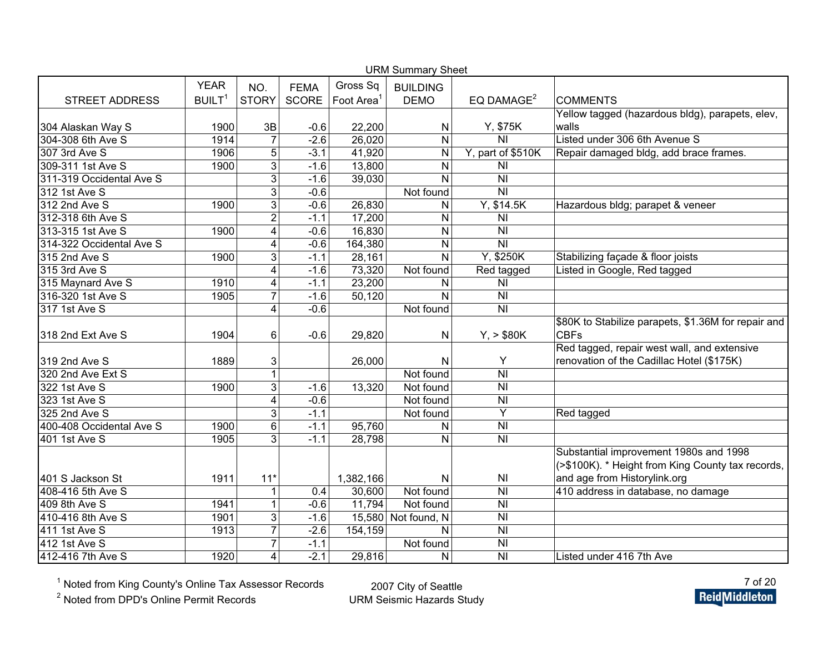| <b>URM Summary Sheet</b> |                    |                |             |                        |                     |                           |                                                     |  |  |  |  |
|--------------------------|--------------------|----------------|-------------|------------------------|---------------------|---------------------------|-----------------------------------------------------|--|--|--|--|
|                          | <b>YEAR</b>        | NO.            | <b>FEMA</b> | Gross Sq               | <b>BUILDING</b>     |                           |                                                     |  |  |  |  |
| <b>STREET ADDRESS</b>    | BUILT <sup>1</sup> | <b>STORY</b>   | SCORE       | Foot Area <sup>1</sup> | <b>DEMO</b>         | EQ DAMAGE <sup>2</sup>    | <b>COMMENTS</b>                                     |  |  |  |  |
|                          |                    |                |             |                        |                     |                           | Yellow tagged (hazardous bldg), parapets, elev,     |  |  |  |  |
| 304 Alaskan Way S        | 1900               | 3B             | $-0.6$      | 22,200                 | N                   | Y, \$75K                  | walls                                               |  |  |  |  |
| 304-308 6th Ave S        | 1914               | $\overline{7}$ | $-2.6$      | 26,020                 | ${\sf N}$           | $\overline{N}$            | Listed under 306 6th Avenue S                       |  |  |  |  |
| 307 3rd Ave S            | 1906               | 5              | $-3.1$      | 41,920                 | N                   | Y, part of \$510K         | Repair damaged bldg, add brace frames.              |  |  |  |  |
| 309-311 1st Ave S        | 1900               | $\overline{3}$ | $-1.6$      | 13,800                 | N                   | <b>NI</b>                 |                                                     |  |  |  |  |
| 311-319 Occidental Ave S |                    | $\overline{3}$ | $-1.6$      | 39,030                 | $\mathsf{N}$        | $\overline{\overline{N}}$ |                                                     |  |  |  |  |
| 312 1st Ave S            |                    | $\overline{3}$ | $-0.6$      |                        | Not found           | $\overline{N}$            |                                                     |  |  |  |  |
| 312 2nd Ave S            | 1900               | $\overline{3}$ | $-0.6$      | 26,830                 | N                   | Y, \$14.5K                | Hazardous bldg; parapet & veneer                    |  |  |  |  |
| 312-318 6th Ave S        |                    | $\overline{2}$ | $-1.1$      | 17,200                 | $\mathsf{N}$        | <b>NI</b>                 |                                                     |  |  |  |  |
| 313-315 1st Ave S        | 1900               | 4              | $-0.6$      | 16,830                 | N                   | $\overline{\overline{N}}$ |                                                     |  |  |  |  |
| 314-322 Occidental Ave S |                    | 4              | $-0.6$      | 164,380                | N                   | $\overline{N}$            |                                                     |  |  |  |  |
| 315 2nd Ave S            | 1900               | 3              | $-1.1$      | 28,161                 | $\mathsf{N}$        | Y, \$250K                 | Stabilizing façade & floor joists                   |  |  |  |  |
| 315 3rd Ave S            |                    | $\overline{4}$ | $-1.6$      | 73,320                 | Not found           | Red tagged                | Listed in Google, Red tagged                        |  |  |  |  |
| 315 Maynard Ave S        | 1910               | 4              | $-1.1$      | 23,200                 | N                   | N <sub>l</sub>            |                                                     |  |  |  |  |
| 316-320 1st Ave S        | 1905               | $\overline{7}$ | $-1.6$      | 50,120                 | N                   | $\overline{N}$            |                                                     |  |  |  |  |
| 317 1st Ave S            |                    | 4              | $-0.6$      |                        | Not found           | $\overline{N}$            |                                                     |  |  |  |  |
|                          |                    |                |             |                        |                     |                           | \$80K to Stabilize parapets, \$1.36M for repair and |  |  |  |  |
| 318 2nd Ext Ave S        | 1904               | 6              | $-0.6$      | 29,820                 | N                   | $Y_{1}$ > \$80K           | <b>CBFs</b>                                         |  |  |  |  |
|                          |                    |                |             |                        |                     |                           | Red tagged, repair west wall, and extensive         |  |  |  |  |
| 319 2nd Ave S            | 1889               | 3              |             | 26,000                 | N                   | Υ                         | renovation of the Cadillac Hotel (\$175K)           |  |  |  |  |
| 320 2nd Ave Ext S        |                    | 1              |             |                        | Not found           | N <sub>l</sub>            |                                                     |  |  |  |  |
| 322 1st Ave S            | 1900               | 3              | $-1.6$      | 13,320                 | Not found           | $\overline{\overline{N}}$ |                                                     |  |  |  |  |
| 323 1st Ave S            |                    | 4              | $-0.6$      |                        | Not found           | N <sub>l</sub>            |                                                     |  |  |  |  |
| 325 2nd Ave S            |                    | 3              | $-1.1$      |                        | Not found           | Υ                         | Red tagged                                          |  |  |  |  |
| 400-408 Occidental Ave S | 1900               | $\overline{6}$ | $-1.1$      | 95,760                 | N                   | $\overline{N}$            |                                                     |  |  |  |  |
| 401 1st Ave S            | 1905               | $\overline{3}$ | $-1.1$      | 28,798                 | $\mathsf{N}$        | $\overline{\overline{N}}$ |                                                     |  |  |  |  |
|                          |                    |                |             |                        |                     |                           | Substantial improvement 1980s and 1998              |  |  |  |  |
|                          |                    |                |             |                        |                     |                           | (>\$100K). * Height from King County tax records,   |  |  |  |  |
| 401 S Jackson St         | 1911               | $11*$          |             | 1,382,166              | N                   | N <sub>l</sub>            | and age from Historylink.org                        |  |  |  |  |
| 408-416 5th Ave S        |                    | 1              | 0.4         | 30,600                 | Not found           | $\overline{\overline{N}}$ | 410 address in database, no damage                  |  |  |  |  |
| 409 8th Ave S            | 1941               | $\mathbf{1}$   | $-0.6$      | 11,794                 | Not found           | <b>NI</b>                 |                                                     |  |  |  |  |
| 410-416 8th Ave S        | 1901               | $\overline{3}$ | $-1.6$      |                        | 15,580 Not found, N | $\overline{\overline{N}}$ |                                                     |  |  |  |  |
| 411 1st Ave S            | 1913               | $\overline{7}$ | $-2.6$      | 154,159                | N                   | $\overline{\overline{N}}$ |                                                     |  |  |  |  |
| 412 1st Ave S            |                    | $\overline{7}$ | $-1.1$      |                        | Not found           | <b>NI</b>                 |                                                     |  |  |  |  |
| 412-416 7th Ave S        | 1920               | 4              | $-2.1$      | 29,816                 | N                   | <b>NI</b>                 | Listed under 416 7th Ave                            |  |  |  |  |

<sup>2</sup> Noted from DPD's Online Permit Records

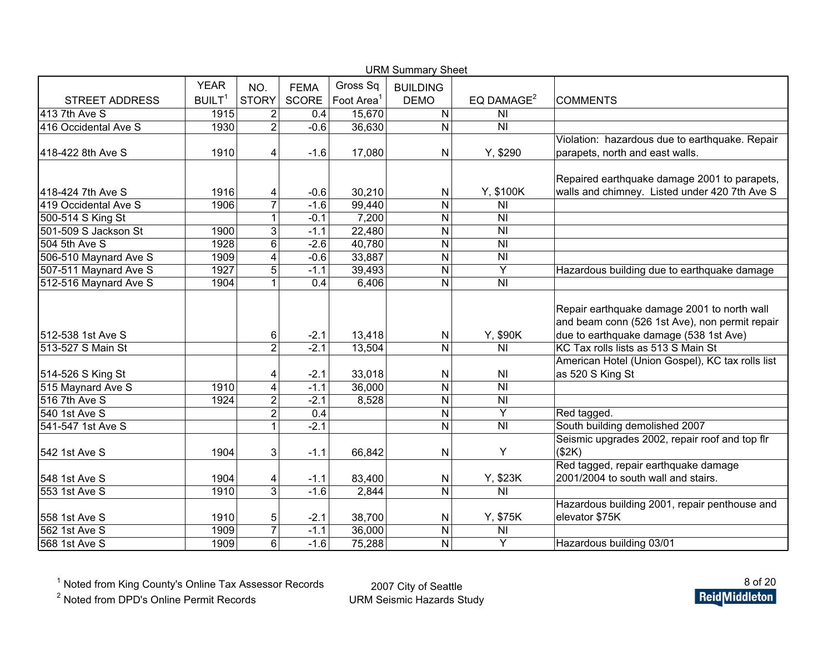| <b>URM Summary Sheet</b> |                    |                |             |                        |                 |                           |                                                  |  |  |  |  |
|--------------------------|--------------------|----------------|-------------|------------------------|-----------------|---------------------------|--------------------------------------------------|--|--|--|--|
|                          | <b>YEAR</b>        | NO.            | <b>FEMA</b> | Gross Sq               | <b>BUILDING</b> |                           |                                                  |  |  |  |  |
| <b>STREET ADDRESS</b>    | BUILT <sup>1</sup> | <b>STORY</b>   | SCORE       | Foot Area <sup>1</sup> | <b>DEMO</b>     | EQ DAMAGE <sup>2</sup>    | <b>COMMENTS</b>                                  |  |  |  |  |
| 413 7th Ave S            | 1915               | $\overline{2}$ | 0.4         | 15,670                 | N               | <b>NI</b>                 |                                                  |  |  |  |  |
| 416 Occidental Ave S     | 1930               | $\overline{2}$ | $-0.6$      | 36,630                 | N               | N <sub>1</sub>            |                                                  |  |  |  |  |
|                          |                    |                |             |                        |                 |                           | Violation: hazardous due to earthquake. Repair   |  |  |  |  |
| 418-422 8th Ave S        | 1910               | 4              | $-1.6$      | 17,080                 | N               | Y, \$290                  | parapets, north and east walls.                  |  |  |  |  |
|                          |                    |                |             |                        |                 |                           | Repaired earthquake damage 2001 to parapets,     |  |  |  |  |
| 418-424 7th Ave S        | 1916               | 4              | $-0.6$      | 30,210                 | N               | Y, \$100K                 | walls and chimney. Listed under 420 7th Ave S    |  |  |  |  |
| 419 Occidental Ave S     | 1906               | $\overline{7}$ | $-1.6$      | 99,440                 | N               | N <sub>1</sub>            |                                                  |  |  |  |  |
| 500-514 S King St        |                    | 1              | $-0.1$      | 7,200                  | N               | <b>NI</b>                 |                                                  |  |  |  |  |
| 501-509 S Jackson St     | 1900               | دی             | $-1.1$      | 22,480                 | N               | N <sub>l</sub>            |                                                  |  |  |  |  |
| 504 5th Ave S            | 1928               | 6              | $-2.6$      | 40,780                 | N               | N <sub>l</sub>            |                                                  |  |  |  |  |
| 506-510 Maynard Ave S    | 1909               | 4              | $-0.6$      | 33,887                 | N               | N <sub>1</sub>            |                                                  |  |  |  |  |
| 507-511 Maynard Ave S    | 1927               | $\overline{5}$ | $-1.1$      | 39,493                 | N               | $\overline{Y}$            | Hazardous building due to earthquake damage      |  |  |  |  |
| 512-516 Maynard Ave S    | 1904               | 1              | 0.4         | 6,406                  | N               | N <sub>l</sub>            |                                                  |  |  |  |  |
|                          |                    |                |             |                        |                 |                           |                                                  |  |  |  |  |
|                          |                    |                |             |                        |                 |                           | Repair earthquake damage 2001 to north wall      |  |  |  |  |
|                          |                    |                |             |                        |                 |                           | and beam conn (526 1st Ave), non permit repair   |  |  |  |  |
| 512-538 1st Ave S        |                    | 6              | $-2.1$      | 13,418                 | N               | Y, \$90K                  | due to earthquake damage (538 1st Ave)           |  |  |  |  |
| 513-527 S Main St        |                    | $\overline{2}$ | $-2.1$      | 13,504                 | N               | N <sub>l</sub>            | KC Tax rolls lists as 513 S Main St              |  |  |  |  |
|                          |                    |                |             |                        |                 |                           | American Hotel (Union Gospel), KC tax rolls list |  |  |  |  |
| 514-526 S King St        |                    | 4              | $-2.1$      | 33,018                 | N               | N <sub>1</sub>            | as 520 S King St                                 |  |  |  |  |
| 515 Maynard Ave S        | 1910               | 4              | $-1.1$      | 36,000                 | N               | N <sub>l</sub>            |                                                  |  |  |  |  |
| 516 7th Ave S            | 1924               | $\overline{2}$ | $-2.1$      | 8,528                  | N               | <b>NI</b>                 |                                                  |  |  |  |  |
| 540 1st Ave S            |                    | $\overline{2}$ | 0.4         |                        | N               | Y                         | Red tagged.                                      |  |  |  |  |
| 541-547 1st Ave S        |                    | 1              | $-2.1$      |                        | N               | $\overline{\overline{N}}$ | South building demolished 2007                   |  |  |  |  |
|                          |                    |                |             |                        |                 |                           | Seismic upgrades 2002, repair roof and top flr   |  |  |  |  |
| 542 1st Ave S            | 1904               | 3              | $-1.1$      | 66,842                 | Ν               | Υ                         | (\$2K)                                           |  |  |  |  |
|                          |                    |                |             |                        |                 |                           | Red tagged, repair earthquake damage             |  |  |  |  |
| 548 1st Ave S            | 1904               | 4              | $-1.1$      | 83,400                 | N               | Y, \$23K                  | 2001/2004 to south wall and stairs.              |  |  |  |  |
| 553 1st Ave S            | 1910               | $\overline{3}$ | $-1.6$      | 2,844                  | N               | $\overline{\overline{N}}$ |                                                  |  |  |  |  |
|                          |                    |                |             |                        |                 |                           | Hazardous building 2001, repair penthouse and    |  |  |  |  |
| 558 1st Ave S            | 1910               | 5              | $-2.1$      | 38,700                 | N               | Y, \$75K                  | elevator \$75K                                   |  |  |  |  |
| 562 1st Ave S            | 1909               | $\overline{7}$ | $-1.1$      | 36,000                 | N               | N <sub>l</sub>            |                                                  |  |  |  |  |
| 568 1st Ave S            | 1909               | 6              | $-1.6$      | 75,288                 | N               | Y                         | Hazardous building 03/01                         |  |  |  |  |

<sup>2</sup> Noted from DPD's Online Permit Records

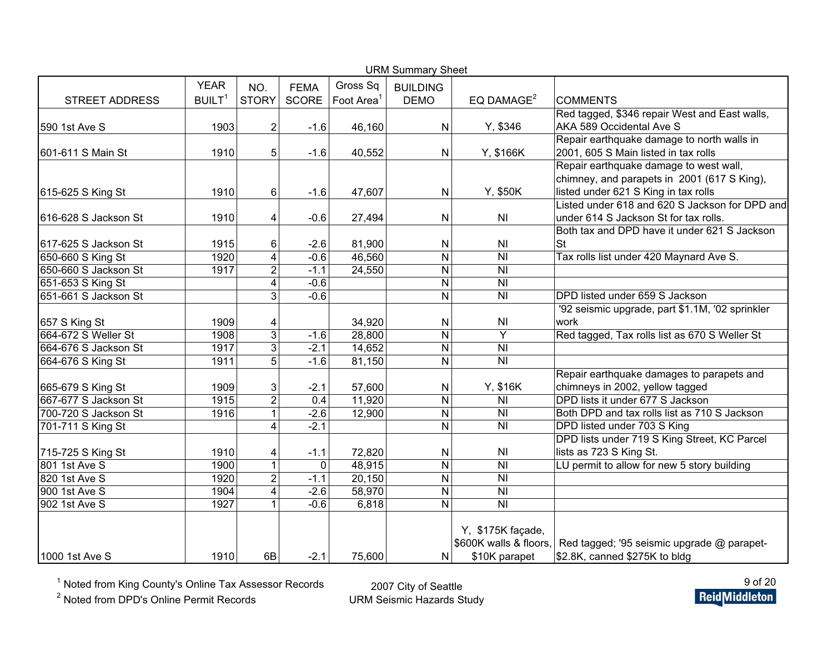|                       |                    |                |              |                        | <b>URM Summary Sheet</b> |                                                         |                                                 |
|-----------------------|--------------------|----------------|--------------|------------------------|--------------------------|---------------------------------------------------------|-------------------------------------------------|
|                       | <b>YEAR</b>        | NO.            | <b>FEMA</b>  | Gross Sq               | <b>BUILDING</b>          |                                                         |                                                 |
| <b>STREET ADDRESS</b> | BUILT <sup>1</sup> | <b>STORY</b>   | <b>SCORE</b> | Foot Area <sup>1</sup> | <b>DEMO</b>              | EQ DAMAGE <sup>2</sup>                                  | <b>COMMENTS</b>                                 |
|                       |                    |                |              |                        |                          |                                                         | Red tagged, \$346 repair West and East walls,   |
| 590 1st Ave S         | 1903               | $\overline{2}$ | $-1.6$       | 46,160                 | N                        | Y, \$346                                                | AKA 589 Occidental Ave S                        |
|                       |                    |                |              |                        |                          |                                                         | Repair earthquake damage to north walls in      |
| 601-611 S Main St     | 1910               | 5              | $-1.6$       | 40,552                 | N                        | Y, \$166K                                               | 2001, 605 S Main listed in tax rolls            |
|                       |                    |                |              |                        |                          |                                                         | Repair earthquake damage to west wall,          |
|                       |                    |                |              |                        |                          |                                                         | chimney, and parapets in 2001 (617 S King),     |
| 615-625 S King St     | 1910               | 6              | $-1.6$       | 47,607                 | $\mathsf{N}$             | Y, \$50K                                                | listed under 621 S King in tax rolls            |
|                       |                    |                |              |                        |                          |                                                         | Listed under 618 and 620 S Jackson for DPD and  |
| 616-628 S Jackson St  | 1910               | 4              | $-0.6$       | 27,494                 | N                        | N <sub>l</sub>                                          | under 614 S Jackson St for tax rolls.           |
|                       |                    |                |              |                        |                          |                                                         | Both tax and DPD have it under 621 S Jackson    |
| 617-625 S Jackson St  | 1915               | 6              | $-2.6$       | 81,900                 | N                        | N <sub>l</sub>                                          | <b>St</b>                                       |
| 650-660 S King St     | 1920               | 4              | $-0.6$       | 46,560                 | $\mathsf{N}$             | $\overline{\overline{\mathsf{N}}\overline{\mathsf{N}}}$ | Tax rolls list under 420 Maynard Ave S.         |
| 650-660 S Jackson St  | 1917               | $\overline{2}$ | $-1.1$       | 24,550                 | $\mathsf{N}$             | $\overline{\overline{\mathsf{N}}\overline{\mathsf{N}}}$ |                                                 |
| 651-653 S King St     |                    | 4              | $-0.6$       |                        | N                        | N <sub>l</sub>                                          |                                                 |
| 651-661 S Jackson St  |                    | 3              | $-0.6$       |                        | N                        | N <sub>l</sub>                                          | DPD listed under 659 S Jackson                  |
|                       |                    |                |              |                        |                          |                                                         | '92 seismic upgrade, part \$1.1M, '02 sprinkler |
| 657 S King St         | 1909               | 4              |              | 34,920                 | $\mathsf{N}$             | N <sub>l</sub>                                          | work                                            |
| 664-672 S Weller St   | 1908               | $\overline{3}$ | $-1.6$       | 28,800                 | N                        | Y                                                       | Red tagged, Tax rolls list as 670 S Weller St   |
| 664-676 S Jackson St  | 1917               | 3              | $-2.1$       | 14,652                 | $\mathsf{N}$             | N <sub>l</sub>                                          |                                                 |
| 664-676 S King St     | 1911               | $\overline{5}$ | $-1.6$       | 81,150                 | N                        | N <sub>l</sub>                                          |                                                 |
|                       |                    |                |              |                        |                          |                                                         | Repair earthquake damages to parapets and       |
| 665-679 S King St     | 1909               | 3              | $-2.1$       | 57,600                 | N                        | Y, \$16K                                                | chimneys in 2002, yellow tagged                 |
| 667-677 S Jackson St  | 1915               | $\overline{2}$ | 0.4          | 11,920                 | N                        | N <sub>l</sub>                                          | DPD lists it under 677 S Jackson                |
| 700-720 S Jackson St  | 1916               | $\mathbf{1}$   | $-2.6$       | 12,900                 | N                        | N <sub>l</sub>                                          | Both DPD and tax rolls list as 710 S Jackson    |
| 701-711 S King St     |                    | $\overline{4}$ | $-2.1$       |                        | N                        | $\overline{\overline{\mathsf{N}}}$                      | DPD listed under 703 S King                     |
|                       |                    |                |              |                        |                          |                                                         | DPD lists under 719 S King Street, KC Parcel    |
| 715-725 S King St     | 1910               | 4              | $-1.1$       | 72,820                 | N                        | N <sub>l</sub>                                          | lists as 723 S King St.                         |
| 801 1st Ave S         | 1900               | $\mathbf{1}$   | $\mathbf 0$  | 48,915                 | $\mathsf{N}$             | N <sub>l</sub>                                          | LU permit to allow for new 5 story building     |
| 820 1st Ave S         | 1920               | $\overline{2}$ | $-1.1$       | 20,150                 | N                        | $\overline{\overline{N}}$                               |                                                 |
| 900 1st Ave S         | 1904               | 4              | $-2.6$       | 58,970                 | ${\sf N}$                | $\overline{\overline{N}}$                               |                                                 |
| 902 1st Ave S         | 1927               | $\mathbf{1}$   | $-0.6$       | 6,818                  | N                        | $\overline{\overline{\mathsf{N}}}$                      |                                                 |
|                       |                    |                |              |                        |                          |                                                         |                                                 |
|                       |                    |                |              |                        |                          | Y, \$175K façade,                                       |                                                 |
|                       |                    |                |              |                        |                          | \$600K walls & floors,                                  | Red tagged; '95 seismic upgrade @ parapet-      |
| 1000 1st Ave S        | 1910               | 6B             | $-2.1$       | 75,600                 | N                        | \$10K parapet                                           | \$2.8K, canned \$275K to bldg                   |

<sup>2</sup> Noted from DPD's Online Permit Records

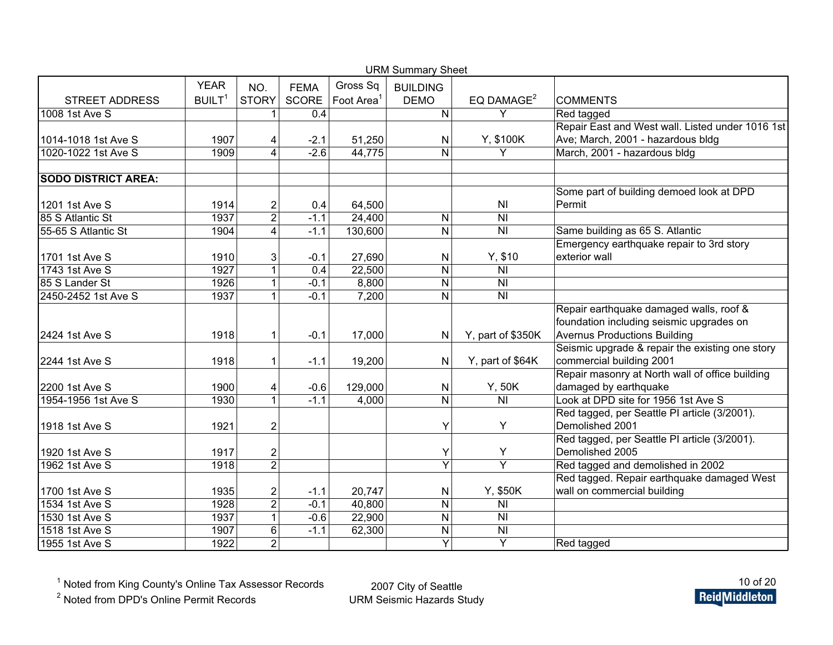| <b>URM Summary Sheet</b>   |                    |                         |              |                        |                 |                                                         |                                                  |  |  |  |  |
|----------------------------|--------------------|-------------------------|--------------|------------------------|-----------------|---------------------------------------------------------|--------------------------------------------------|--|--|--|--|
|                            | <b>YEAR</b>        | NO.                     | <b>FEMA</b>  | Gross Sq               | <b>BUILDING</b> |                                                         |                                                  |  |  |  |  |
| <b>STREET ADDRESS</b>      | BUILT <sup>1</sup> | <b>STORY</b>            | <b>SCORE</b> | Foot Area <sup>1</sup> | <b>DEMO</b>     | EQ DAMAGE <sup>2</sup>                                  | <b>COMMENTS</b>                                  |  |  |  |  |
| 1008 1st Ave S             |                    | 1                       | 0.4          |                        | N               | Y                                                       | Red tagged                                       |  |  |  |  |
|                            |                    |                         |              |                        |                 |                                                         | Repair East and West wall. Listed under 1016 1st |  |  |  |  |
| 1014-1018 1st Ave S        | 1907               | 4                       | $-2.1$       | 51,250                 | N               | Y, \$100K                                               | Ave; March, 2001 - hazardous bldg                |  |  |  |  |
| 1020-1022 1st Ave S        | 1909               | 4                       | $-2.6$       | 44,775                 | $\mathsf{N}$    | Y                                                       | March, 2001 - hazardous bldg                     |  |  |  |  |
|                            |                    |                         |              |                        |                 |                                                         |                                                  |  |  |  |  |
| <b>SODO DISTRICT AREA:</b> |                    |                         |              |                        |                 |                                                         |                                                  |  |  |  |  |
|                            |                    |                         |              |                        |                 |                                                         | Some part of building demoed look at DPD         |  |  |  |  |
| 1201 1st Ave S             | 1914               | $\overline{c}$          | 0.4          | 64,500                 |                 | N <sub>l</sub>                                          | Permit                                           |  |  |  |  |
| 85 S Atlantic St           | 1937               | $\overline{2}$          | $-1.1$       | 24,400                 | ${\sf N}$       | N <sub>l</sub>                                          |                                                  |  |  |  |  |
| 55-65 S Atlantic St        | 1904               | $\overline{\mathbf{4}}$ | $-1.1$       | 130,600                | $\mathsf{N}$    | N <sub>l</sub>                                          | Same building as 65 S. Atlantic                  |  |  |  |  |
|                            |                    |                         |              |                        |                 |                                                         | Emergency earthquake repair to 3rd story         |  |  |  |  |
| 1701 1st Ave S             | 1910               | 3                       | $-0.1$       | 27,690                 | $\mathsf{N}$    | Y, \$10                                                 | exterior wall                                    |  |  |  |  |
| 1743 1st Ave S             | 1927               | $\overline{1}$          | 0.4          | 22,500                 | $\mathsf{N}$    | N <sub>l</sub>                                          |                                                  |  |  |  |  |
| 85 S Lander St             | 1926               | 1                       | $-0.1$       | 8,800                  | $\mathsf{N}$    | N <sub>l</sub>                                          |                                                  |  |  |  |  |
| 2450-2452 1st Ave S        | 1937               | 1                       | $-0.1$       | 7,200                  | $\mathsf{N}$    | $\overline{\overline{\mathsf{N}}\overline{\mathsf{N}}}$ |                                                  |  |  |  |  |
|                            |                    |                         |              |                        |                 |                                                         | Repair earthquake damaged walls, roof &          |  |  |  |  |
|                            |                    |                         |              |                        |                 |                                                         | foundation including seismic upgrades on         |  |  |  |  |
| 2424 1st Ave S             | 1918               | 1                       | $-0.1$       | 17,000                 | $\mathsf{N}$    | Y, part of \$350K                                       | <b>Avernus Productions Building</b>              |  |  |  |  |
|                            |                    |                         |              |                        |                 |                                                         | Seismic upgrade & repair the existing one story  |  |  |  |  |
| 2244 1st Ave S             | 1918               | 1                       | $-1.1$       | 19,200                 | $\mathsf{N}$    | Y, part of \$64K                                        | commercial building 2001                         |  |  |  |  |
|                            |                    |                         |              |                        |                 |                                                         | Repair masonry at North wall of office building  |  |  |  |  |
| 2200 1st Ave S             | 1900               | 4                       | $-0.6$       | 129,000                | N               | Y, 50K                                                  | damaged by earthquake                            |  |  |  |  |
| 1954-1956 1st Ave S        | 1930               | 1                       | $-1.1$       | 4,000                  | $\mathsf{N}$    | N <sub>l</sub>                                          | Look at DPD site for 1956 1st Ave S              |  |  |  |  |
|                            |                    |                         |              |                        |                 |                                                         | Red tagged, per Seattle PI article (3/2001).     |  |  |  |  |
| 1918 1st Ave S             | 1921               | $\overline{2}$          |              |                        | Υ               | Υ                                                       | Demolished 2001                                  |  |  |  |  |
|                            |                    |                         |              |                        |                 |                                                         | Red tagged, per Seattle PI article (3/2001).     |  |  |  |  |
| 1920 1st Ave S             | 1917               | $\overline{2}$          |              |                        | Υ               | Υ                                                       | Demolished 2005                                  |  |  |  |  |
| 1962 1st Ave S             | 1918               | $\overline{2}$          |              |                        | Y               | $\overline{Y}$                                          | Red tagged and demolished in 2002                |  |  |  |  |
|                            |                    |                         |              |                        |                 |                                                         | Red tagged. Repair earthquake damaged West       |  |  |  |  |
| 1700 1st Ave S             | 1935               | $\overline{c}$          | $-1.1$       | 20,747                 | ${\sf N}$       | Y, \$50K                                                | wall on commercial building                      |  |  |  |  |
| 1534 1st Ave S             | 1928               | $\overline{2}$          | $-0.1$       | 40,800                 | ${\sf N}$       | N <sub>l</sub>                                          |                                                  |  |  |  |  |
| 1530 1st Ave S             | 1937               | $\mathbf{1}$            | $-0.6$       | 22,900                 | ${\sf N}$       | N <sub>l</sub>                                          |                                                  |  |  |  |  |
| 1518 1st Ave S             | 1907               | 6                       | $-1.1$       | 62,300                 | ${\sf N}$       | N <sub>l</sub>                                          |                                                  |  |  |  |  |
| 1955 1st Ave S             | 1922               | $\overline{2}$          |              |                        | Y               | Y                                                       | Red tagged                                       |  |  |  |  |

<sup>2</sup> Noted from DPD's Online Permit Records

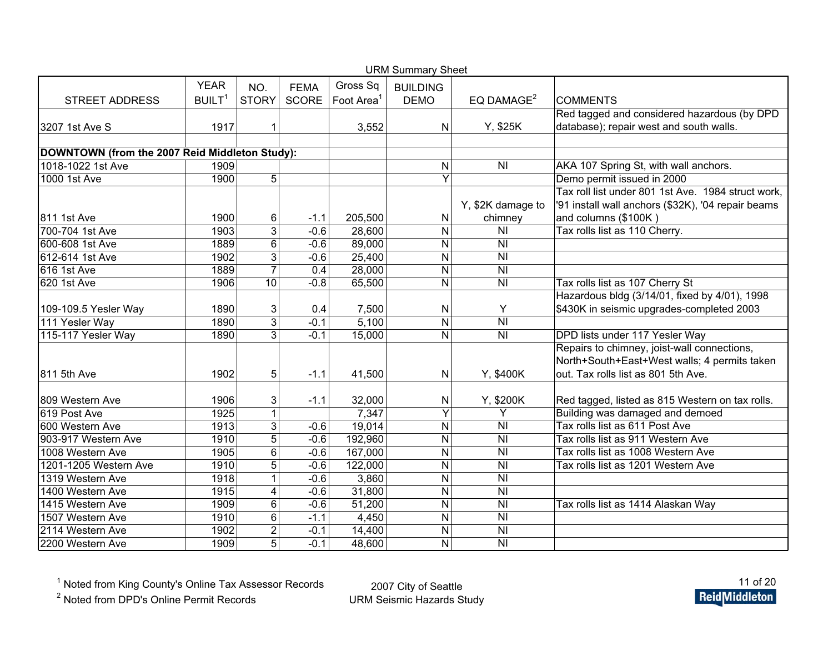| <b>URM Summary Sheet</b>                       |                   |                         |              |                        |                 |                           |                                                    |  |  |  |  |
|------------------------------------------------|-------------------|-------------------------|--------------|------------------------|-----------------|---------------------------|----------------------------------------------------|--|--|--|--|
|                                                | <b>YEAR</b>       | NO.                     | <b>FEMA</b>  | Gross Sq               | <b>BUILDING</b> |                           |                                                    |  |  |  |  |
| <b>STREET ADDRESS</b>                          | BULT <sup>1</sup> | <b>STORY</b>            | <b>SCORE</b> | Foot Area <sup>1</sup> | <b>DEMO</b>     | EQ DAMAGE <sup>2</sup>    | <b>COMMENTS</b>                                    |  |  |  |  |
|                                                |                   |                         |              |                        |                 |                           | Red tagged and considered hazardous (by DPD        |  |  |  |  |
| 3207 1st Ave S                                 | 1917              | 1                       |              | 3,552                  | N               | Y, \$25K                  | database); repair west and south walls.            |  |  |  |  |
|                                                |                   |                         |              |                        |                 |                           |                                                    |  |  |  |  |
| DOWNTOWN (from the 2007 Reid Middleton Study): |                   |                         |              |                        |                 |                           |                                                    |  |  |  |  |
| 1018-1022 1st Ave                              | 1909              |                         |              |                        | Ν               | N <sub>l</sub>            | AKA 107 Spring St, with wall anchors.              |  |  |  |  |
| 1000 1st Ave                                   | 1900              | 5                       |              |                        | $\overline{Y}$  |                           | Demo permit issued in 2000                         |  |  |  |  |
|                                                |                   |                         |              |                        |                 |                           | Tax roll list under 801 1st Ave. 1984 struct work, |  |  |  |  |
|                                                |                   |                         |              |                        |                 | Y, \$2K damage to         | '91 install wall anchors (\$32K), '04 repair beams |  |  |  |  |
| 811 1st Ave                                    | 1900              | 6                       | $-1.1$       | 205,500                | Ν               | chimney                   | and columns (\$100K)                               |  |  |  |  |
| 700-704 1st Ave                                | 1903              | $\overline{3}$          | $-0.6$       | 28,600                 | N               | N <sub>l</sub>            | Tax rolls list as 110 Cherry.                      |  |  |  |  |
| 600-608 1st Ave                                | 1889              | 6                       | $-0.6$       | 89,000                 | N               | N <sub>l</sub>            |                                                    |  |  |  |  |
| 612-614 1st Ave                                | 1902              | $\overline{3}$          | $-0.6$       | 25,400                 | N               | N <sub>l</sub>            |                                                    |  |  |  |  |
| <b>616 1st Ave</b>                             | 1889              | $\overline{7}$          | 0.4          | 28,000                 | N               | $\overline{N}$            |                                                    |  |  |  |  |
| 620 1st Ave                                    | 1906              | 10                      | $-0.8$       | 65,500                 | N               | N <sub>l</sub>            | Tax rolls list as 107 Cherry St                    |  |  |  |  |
|                                                |                   |                         |              |                        |                 |                           | Hazardous bldg (3/14/01, fixed by 4/01), 1998      |  |  |  |  |
| 109-109.5 Yesler Way                           | 1890              | 3                       | 0.4          | 7,500                  | N               | Y                         | \$430K in seismic upgrades-completed 2003          |  |  |  |  |
| 111 Yesler Way                                 | 1890              | $\overline{3}$          | $-0.1$       | 5,100                  | N               | $\overline{\overline{N}}$ |                                                    |  |  |  |  |
| 115-117 Yesler Way                             | 1890              | $\overline{3}$          | $-0.1$       | 15,000                 | N               | $\overline{N}$            | DPD lists under 117 Yesler Way                     |  |  |  |  |
|                                                |                   |                         |              |                        |                 |                           | Repairs to chimney, joist-wall connections,        |  |  |  |  |
|                                                |                   |                         |              |                        |                 |                           | North+South+East+West walls; 4 permits taken       |  |  |  |  |
| 811 5th Ave                                    | 1902              | 5                       | $-1.1$       | 41,500                 | N               | Y, \$400K                 | out. Tax rolls list as 801 5th Ave.                |  |  |  |  |
|                                                |                   |                         |              |                        |                 |                           |                                                    |  |  |  |  |
| 809 Western Ave                                | 1906              | 3                       | $-1.1$       | 32,000                 | N               | Y, \$200K                 | Red tagged, listed as 815 Western on tax rolls.    |  |  |  |  |
| 619 Post Ave                                   | 1925              | $\mathbf{1}$            |              | 7,347                  | $\overline{Y}$  | Y                         | Building was damaged and demoed                    |  |  |  |  |
| 600 Western Ave                                | 1913              | 3                       | $-0.6$       | 19,014                 | N               | N <sub>l</sub>            | Tax rolls list as 611 Post Ave                     |  |  |  |  |
| 903-917 Western Ave                            | 1910              | $\overline{5}$          | $-0.6$       | 192,960                | N               | <b>NI</b>                 | Tax rolls list as 911 Western Ave                  |  |  |  |  |
| 1008 Western Ave                               | 1905              | $\overline{6}$          | $-0.6$       | 167,000                | N               | <b>NI</b>                 | Tax rolls list as 1008 Western Ave                 |  |  |  |  |
| 1201-1205 Western Ave                          | 1910              | $\overline{5}$          | $-0.6$       | 122,000                | N               | <b>NI</b>                 | Tax rolls list as 1201 Western Ave                 |  |  |  |  |
| 1319 Western Ave                               | 1918              | 1                       | $-0.6$       | 3,860                  | N               | <b>NI</b>                 |                                                    |  |  |  |  |
| 1400 Western Ave                               | 1915              | $\overline{\mathbf{4}}$ | $-0.6$       | 31,800                 | N               | <b>NI</b>                 |                                                    |  |  |  |  |
| 1415 Western Ave                               | 1909              | 6                       | $-0.6$       | 51,200                 | N               | <b>NI</b>                 | Tax rolls list as 1414 Alaskan Way                 |  |  |  |  |
| 1507 Western Ave                               | 1910              | 6                       | $-1.1$       | 4,450                  | N               | <b>NI</b>                 |                                                    |  |  |  |  |
| 2114 Western Ave                               | 1902              | $\overline{\mathbf{c}}$ | $-0.1$       | 14,400                 | N               | <b>NI</b>                 |                                                    |  |  |  |  |
| 2200 Western Ave                               | 1909              | $\overline{5}$          | $-0.1$       | 48,600                 | N               | N <sub>l</sub>            |                                                    |  |  |  |  |

<sup>2</sup> Noted from DPD's Online Permit Records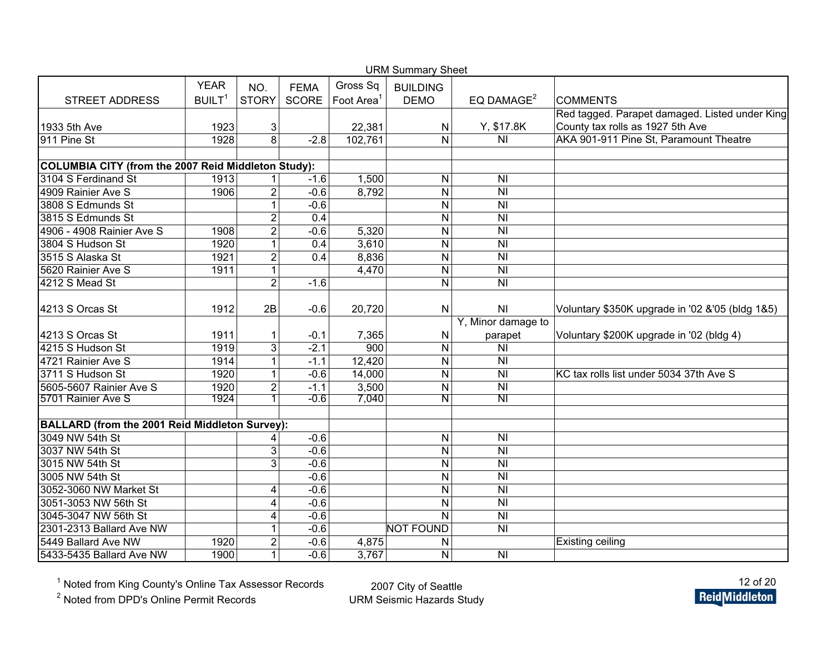|                                                       |                    |                |                  |           | <b>URM Summary Sheet</b> |                                              |                                                 |
|-------------------------------------------------------|--------------------|----------------|------------------|-----------|--------------------------|----------------------------------------------|-------------------------------------------------|
|                                                       | <b>YEAR</b>        | NO.            | <b>FEMA</b>      | Gross Sq  | <b>BUILDING</b>          |                                              |                                                 |
| <b>STREET ADDRESS</b>                                 | BUILT <sup>1</sup> | <b>STORY</b>   | SCORE            | Foot Area | <b>DEMO</b>              | EQ DAMAGE <sup>2</sup>                       | <b>COMMENTS</b>                                 |
|                                                       |                    |                |                  |           |                          |                                              | Red tagged. Parapet damaged. Listed under King  |
| 1933 5th Ave                                          | 1923               | 3              |                  | 22,381    | ${\sf N}$                | Y, \$17.8K                                   | County tax rolls as 1927 5th Ave                |
| 911 Pine St                                           | 1928               | $\overline{8}$ | $-2.8$           | 102,761   | $\mathsf{N}$             | N <sub>l</sub>                               | AKA 901-911 Pine St, Paramount Theatre          |
|                                                       |                    |                |                  |           |                          |                                              |                                                 |
| COLUMBIA CITY (from the 2007 Reid Middleton Study):   |                    |                |                  |           |                          |                                              |                                                 |
| 3104 S Ferdinand St                                   | 1913               |                | $-1.6$           | 1,500     | $\mathsf{N}$             | N <sub>l</sub>                               |                                                 |
| 4909 Rainier Ave S                                    | 1906               | $\overline{2}$ | $-0.6$           | 8,792     | $\mathsf{N}$             | N <sub>l</sub>                               |                                                 |
| 3808 S Edmunds St                                     |                    | $\mathbf{1}$   | $-0.6$           |           | $\overline{N}$           | $\overline{\overline{N}}$                    |                                                 |
| 3815 S Edmunds St                                     |                    | $\overline{c}$ | $\overline{0.4}$ |           | $\mathsf{N}$             | $\overline{\overline{N}}$                    |                                                 |
| 4906 - 4908 Rainier Ave S                             | 1908               | $\overline{2}$ | $-0.6$           | 5,320     | $\mathsf{N}$             | N <sub>l</sub>                               |                                                 |
| 3804 S Hudson St                                      | 1920               | $\mathbf{1}$   | 0.4              | 3,610     | $\mathsf{N}$             | $\overline{N}$                               |                                                 |
| 3515 S Alaska St                                      | 1921               | $\overline{2}$ | $\overline{0.4}$ | 8,836     | ${\sf N}$                | N <sub>l</sub>                               |                                                 |
| 5620 Rainier Ave S                                    | 1911               | $\mathbf 1$    |                  | 4,470     | $\overline{N}$           | $\overline{\overline{\mathsf{N}}\mathsf{I}}$ |                                                 |
| 4212 S Mead St                                        |                    | $\overline{2}$ | $-1.6$           |           | $\overline{N}$           | N <sub>l</sub>                               |                                                 |
| 4213 S Orcas St                                       | 1912               | 2B             | $-0.6$           | 20,720    | ${\sf N}$                | N <sub>l</sub>                               | Voluntary \$350K upgrade in '02 &'05 (bldg 1&5) |
|                                                       |                    |                |                  |           |                          | Y, Minor damage to                           |                                                 |
| 4213 S Orcas St                                       | 1911               | 1              | $-0.1$           | 7,365     | $\mathsf{N}$             | parapet                                      | Voluntary \$200K upgrade in '02 (bldg 4)        |
| 4215 S Hudson St                                      | 1919               | 3              | $-2.1$           | 900       | ${\sf N}$                | $\overline{N}$                               |                                                 |
| 4721 Rainier Ave S                                    | 1914               | $\mathbf{1}$   | $-1.1$           | 12,420    | ${\sf N}$                | N <sub>l</sub>                               |                                                 |
| 3711 S Hudson St                                      | 1920               | 1              | $-0.6$           | 14,000    | $\mathsf{N}$             | N <sub>l</sub>                               | KC tax rolls list under 5034 37th Ave S         |
| 5605-5607 Rainier Ave S                               | 1920               | $\overline{2}$ | $-1.1$           | 3,500     | $\mathsf{N}$             | N <sub>l</sub>                               |                                                 |
| 5701 Rainier Ave S                                    | 1924               | 1              | $-0.6$           | 7,040     | N                        | $\overline{\mathsf{N}}$                      |                                                 |
|                                                       |                    |                |                  |           |                          |                                              |                                                 |
| <b>BALLARD (from the 2001 Reid Middleton Survey):</b> |                    |                |                  |           |                          |                                              |                                                 |
| 3049 NW 54th St                                       |                    | 4              | $-0.6$           |           | $\mathsf{N}$             | N <sub>l</sub>                               |                                                 |
| 3037 NW 54th St                                       |                    | 3              | $-0.6$           |           | $\mathsf{N}$             | N <sub>l</sub>                               |                                                 |
| 3015 NW 54th St                                       |                    | $\overline{3}$ | $-0.6$           |           | $\mathsf{N}$             | $\overline{N}$                               |                                                 |
| 3005 NW 54th St                                       |                    |                | $-0.6$           |           | $\mathsf{N}$             | N <sub>l</sub>                               |                                                 |
| 3052-3060 NW Market St                                |                    | 4              | $-0.6$           |           | $\overline{N}$           | $\overline{\overline{N}}$                    |                                                 |
| 3051-3053 NW 56th St                                  |                    | 4              | $-0.6$           |           | $\mathsf{N}$             | N <sub>l</sub>                               |                                                 |
| 3045-3047 NW 56th St                                  |                    | 4              | $-0.6$           |           | $\overline{N}$           | $\overline{\overline{N}}$                    |                                                 |
| 2301-2313 Ballard Ave NW                              |                    | $\mathbf{1}$   | $-0.6$           |           | <b>NOT FOUND</b>         | $\overline{\overline{N}}$                    |                                                 |
| 5449 Ballard Ave NW                                   | 1920               | $\overline{c}$ | $-0.6$           | 4,875     | N                        |                                              | <b>Existing ceiling</b>                         |
| 5433-5435 Ballard Ave NW                              | 1900               | $\mathbf{1}$   | $-0.6$           | 3,767     | ${\sf N}$                | $\overline{\overline{N}}$                    |                                                 |

<sup>2</sup> Noted from DPD's Online Permit Records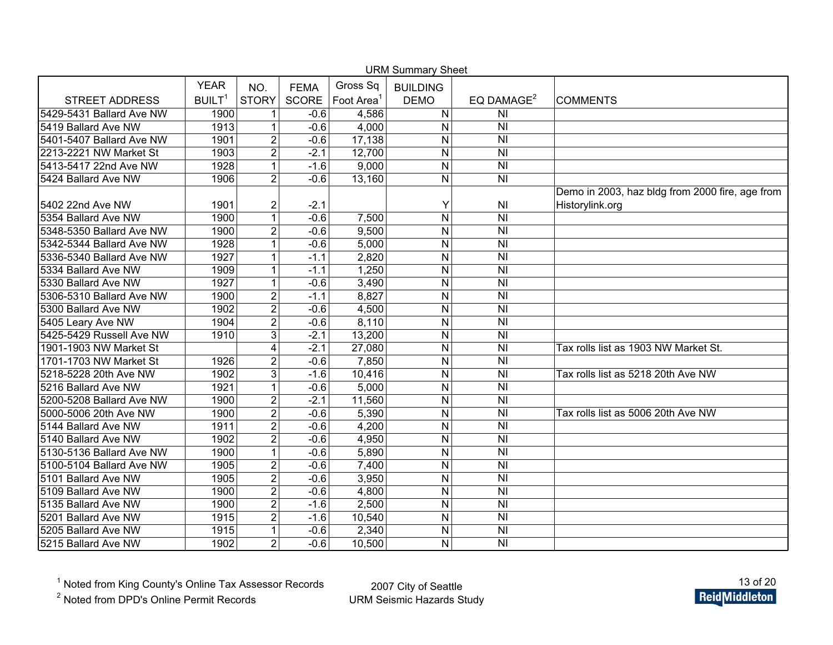| <b>URM Summary Sheet</b> |                    |                |             |                        |                 |                                    |                                                 |  |  |  |
|--------------------------|--------------------|----------------|-------------|------------------------|-----------------|------------------------------------|-------------------------------------------------|--|--|--|
|                          | <b>YEAR</b>        | NO.            | <b>FEMA</b> | Gross Sq               | <b>BUILDING</b> |                                    |                                                 |  |  |  |
| <b>STREET ADDRESS</b>    | BUILT <sup>1</sup> | <b>STORY</b>   | SCORE       | Foot Area <sup>1</sup> | <b>DEMO</b>     | EQ DAMAGE <sup>2</sup>             | <b>COMMENTS</b>                                 |  |  |  |
| 5429-5431 Ballard Ave NW | 1900               | 1              | $-0.6$      | 4,586                  | N               | N <sub>l</sub>                     |                                                 |  |  |  |
| 5419 Ballard Ave NW      | 1913               | $\mathbf{1}$   | $-0.6$      | 4,000                  | N               | N <sub>l</sub>                     |                                                 |  |  |  |
| 5401-5407 Ballard Ave NW | 1901               | $\overline{2}$ | $-0.6$      | 17,138                 | N               | N <sub>l</sub>                     |                                                 |  |  |  |
| 2213-2221 NW Market St   | 1903               | $\overline{2}$ | $-2.1$      | 12,700                 | $\mathsf{N}$    | N <sub>l</sub>                     |                                                 |  |  |  |
| 5413-5417 22nd Ave NW    | 1928               | $\mathbf{1}$   | $-1.6$      | 9,000                  | ${\sf N}$       | N <sub>l</sub>                     |                                                 |  |  |  |
| 5424 Ballard Ave NW      | 1906               | $\overline{2}$ | $-0.6$      | 13,160                 | $\mathsf{N}$    | N <sub>l</sub>                     |                                                 |  |  |  |
|                          |                    |                |             |                        |                 |                                    | Demo in 2003, haz bldg from 2000 fire, age from |  |  |  |
| 5402 22nd Ave NW         | 1901               | $\overline{2}$ | $-2.1$      |                        | Y               | NI                                 | Historylink.org                                 |  |  |  |
| 5354 Ballard Ave NW      | 1900               | $\mathbf{1}$   | $-0.6$      | 7,500                  | $\mathsf{N}$    | N <sub>l</sub>                     |                                                 |  |  |  |
| 5348-5350 Ballard Ave NW | 1900               | $\overline{2}$ | $-0.6$      | 9,500                  | $\mathsf{N}$    | N <sub>l</sub>                     |                                                 |  |  |  |
| 5342-5344 Ballard Ave NW | 1928               | $\mathbf{1}$   | $-0.6$      | 5,000                  | $\mathsf{N}$    | N <sub>l</sub>                     |                                                 |  |  |  |
| 5336-5340 Ballard Ave NW | 1927               | $\mathbf{1}$   | $-1.1$      | 2,820                  | $\mathsf{N}$    | N <sub>l</sub>                     |                                                 |  |  |  |
| 5334 Ballard Ave NW      | 1909               | $\mathbf{1}$   | $-1.1$      | 1,250                  | ${\sf N}$       | N <sub>l</sub>                     |                                                 |  |  |  |
| 5330 Ballard Ave NW      | 1927               | $\mathbf{1}$   | $-0.6$      | 3,490                  | ${\sf N}$       | N <sub>l</sub>                     |                                                 |  |  |  |
| 5306-5310 Ballard Ave NW | 1900               | $\overline{2}$ | $-1.1$      | 8,827                  | ${\sf N}$       | N <sub>l</sub>                     |                                                 |  |  |  |
| 5300 Ballard Ave NW      | 1902               | $\overline{2}$ | $-0.6$      | 4,500                  | N               | N <sub>l</sub>                     |                                                 |  |  |  |
| 5405 Leary Ave NW        | 1904               | $\overline{2}$ | $-0.6$      | 8,110                  | N               | N <sub>l</sub>                     |                                                 |  |  |  |
| 5425-5429 Russell Ave NW | 1910               | 3              | $-2.1$      | 13,200                 | N               | N <sub>l</sub>                     |                                                 |  |  |  |
| 1901-1903 NW Market St   |                    | 4              | $-2.1$      | 27,080                 | N               | N <sub>l</sub>                     | Tax rolls list as 1903 NW Market St.            |  |  |  |
| 1701-1703 NW Market St   | 1926               | $\overline{2}$ | $-0.6$      | 7,850                  | N               | N <sub>l</sub>                     |                                                 |  |  |  |
| 5218-5228 20th Ave NW    | 1902               | $\overline{3}$ | $-1.6$      | 10,416                 | N               | N <sub>l</sub>                     | Tax rolls list as 5218 20th Ave NW              |  |  |  |
| 5216 Ballard Ave NW      | 1921               | $\mathbf{1}$   | $-0.6$      | 5,000                  | N               | $\overline{\overline{\mathsf{N}}}$ |                                                 |  |  |  |
| 5200-5208 Ballard Ave NW | 1900               | $\overline{2}$ | $-2.1$      | 11,560                 | N               | N <sub>l</sub>                     |                                                 |  |  |  |
| 5000-5006 20th Ave NW    | 1900               | $\overline{2}$ | $-0.6$      | 5,390                  | N               | N <sub>l</sub>                     | Tax rolls list as 5006 20th Ave NW              |  |  |  |
| 5144 Ballard Ave NW      | 1911               | $\overline{2}$ | $-0.6$      | 4,200                  | N               | N <sub>l</sub>                     |                                                 |  |  |  |
| 5140 Ballard Ave NW      | 1902               | $\overline{2}$ | $-0.6$      | 4,950                  | N               | N <sub>l</sub>                     |                                                 |  |  |  |
| 5130-5136 Ballard Ave NW | 1900               | $\mathbf{1}$   | $-0.6$      | 5,890                  | N               | $\overline{\overline{\mathsf{N}}}$ |                                                 |  |  |  |
| 5100-5104 Ballard Ave NW | 1905               | $\overline{2}$ | $-0.6$      | 7,400                  | N               | N <sub>l</sub>                     |                                                 |  |  |  |
| 5101 Ballard Ave NW      | 1905               | $\overline{2}$ | $-0.6$      | 3,950                  | N               | N <sub>l</sub>                     |                                                 |  |  |  |
| 5109 Ballard Ave NW      | 1900               | $\overline{2}$ | $-0.6$      | 4,800                  | N               | N <sub>l</sub>                     |                                                 |  |  |  |
| 5135 Ballard Ave NW      | 1900               | $\overline{2}$ | $-1.6$      | 2,500                  | N               | N <sub>l</sub>                     |                                                 |  |  |  |
| 5201 Ballard Ave NW      | 1915               | $\overline{2}$ | $-1.6$      | 10,540                 | N               | N <sub>l</sub>                     |                                                 |  |  |  |
| 5205 Ballard Ave NW      | 1915               | $\mathbf 1$    | $-0.6$      | 2,340                  | N               | N <sub>l</sub>                     |                                                 |  |  |  |
| 5215 Ballard Ave NW      | 1902               | $\overline{2}$ | $-0.6$      | 10,500                 | N               | N <sub>l</sub>                     |                                                 |  |  |  |

<sup>2</sup> Noted from DPD's Online Permit Records

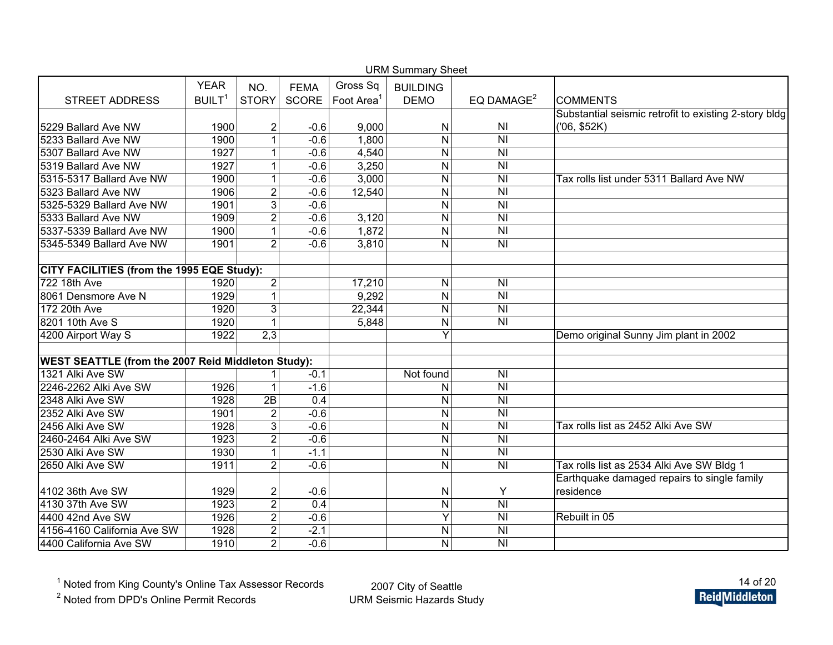| <b>URM Summary Sheet</b>                                  |                    |                  |             |                        |                 |                                    |                                                       |  |  |  |  |
|-----------------------------------------------------------|--------------------|------------------|-------------|------------------------|-----------------|------------------------------------|-------------------------------------------------------|--|--|--|--|
|                                                           | <b>YEAR</b>        | NO.              | <b>FEMA</b> | Gross Sq               | <b>BUILDING</b> |                                    |                                                       |  |  |  |  |
| <b>STREET ADDRESS</b>                                     | BUILT <sup>1</sup> | <b>STORY</b>     | SCORE       | Foot Area <sup>1</sup> | <b>DEMO</b>     | EQ DAMAGE <sup>2</sup>             | <b>COMMENTS</b>                                       |  |  |  |  |
|                                                           |                    |                  |             |                        |                 |                                    | Substantial seismic retrofit to existing 2-story bldg |  |  |  |  |
| 5229 Ballard Ave NW                                       | 1900               | $\overline{2}$   | $-0.6$      | 9,000                  | $\mathsf{N}$    | N <sub>1</sub>                     | (06, \$52K)                                           |  |  |  |  |
| 5233 Ballard Ave NW                                       | 1900               | 1                | $-0.6$      | 1,800                  | $\mathsf{N}$    | N <sub>l</sub>                     |                                                       |  |  |  |  |
| 5307 Ballard Ave NW                                       | 1927               | 1                | $-0.6$      | 4,540                  | $\mathsf{N}$    | N <sub>l</sub>                     |                                                       |  |  |  |  |
| 5319 Ballard Ave NW                                       | 1927               | 1                | $-0.6$      | 3,250                  | $\mathsf{N}$    | N <sub>l</sub>                     |                                                       |  |  |  |  |
| 5315-5317 Ballard Ave NW                                  | 1900               | 1                | $-0.6$      | 3,000                  | $\mathsf{N}$    | N <sub>l</sub>                     | Tax rolls list under 5311 Ballard Ave NW              |  |  |  |  |
| 5323 Ballard Ave NW                                       | 1906               | $\overline{2}$   | $-0.6$      | 12,540                 | ${\sf N}$       | N <sub>l</sub>                     |                                                       |  |  |  |  |
| 5325-5329 Ballard Ave NW                                  | 1901               | $\overline{3}$   | $-0.6$      |                        | $\mathsf{N}$    | N <sub>l</sub>                     |                                                       |  |  |  |  |
| 5333 Ballard Ave NW                                       | 1909               | $\overline{2}$   | $-0.6$      | 3,120                  | $\mathsf{N}$    | N <sub>l</sub>                     |                                                       |  |  |  |  |
| 5337-5339 Ballard Ave NW                                  | 1900               | $\mathbf{1}$     | $-0.6$      | 1,872                  | ${\sf N}$       | N <sub>l</sub>                     |                                                       |  |  |  |  |
| 5345-5349 Ballard Ave NW                                  | 1901               | $\overline{2}$   | $-0.6$      | 3,810                  | $\mathsf{N}$    | $\overline{\overline{\mathsf{N}}}$ |                                                       |  |  |  |  |
|                                                           |                    |                  |             |                        |                 |                                    |                                                       |  |  |  |  |
| CITY FACILITIES (from the 1995 EQE Study):                |                    |                  |             |                        |                 |                                    |                                                       |  |  |  |  |
| 722 18th Ave                                              | 1920               | $\overline{2}$   |             | 17,210                 | $\mathsf{N}$    | N <sub>1</sub>                     |                                                       |  |  |  |  |
| 8061 Densmore Ave N                                       | 1929               | $\overline{1}$   |             | 9,292                  | N               | N <sub>l</sub>                     |                                                       |  |  |  |  |
| 172 20th Ave                                              | 1920               | $\overline{3}$   |             | 22,344                 | $\mathsf{N}$    | N <sub>l</sub>                     |                                                       |  |  |  |  |
| 8201 10th Ave S                                           | 1920               | $\mathbf{1}$     |             | 5,848                  | $\mathsf{N}$    | N <sub>l</sub>                     |                                                       |  |  |  |  |
| 4200 Airport Way S                                        | 1922               | $\overline{2,3}$ |             |                        | Y               |                                    | Demo original Sunny Jim plant in 2002                 |  |  |  |  |
|                                                           |                    |                  |             |                        |                 |                                    |                                                       |  |  |  |  |
| <b>WEST SEATTLE (from the 2007 Reid Middleton Study):</b> |                    |                  |             |                        |                 |                                    |                                                       |  |  |  |  |
| 1321 Alki Ave SW                                          |                    | 1                | $-0.1$      |                        | Not found       | N <sub>l</sub>                     |                                                       |  |  |  |  |
| 2246-2262 Alki Ave SW                                     | 1926               | $\mathbf{1}$     | $-1.6$      |                        | N               | N <sub>l</sub>                     |                                                       |  |  |  |  |
| 2348 Alki Ave SW                                          | 1928               | 2B               | 0.4         |                        | $\mathsf{N}$    | N <sub>1</sub>                     |                                                       |  |  |  |  |
| 2352 Alki Ave SW                                          | 1901               | $\overline{2}$   | $-0.6$      |                        | $\mathsf{N}$    | N <sub>l</sub>                     |                                                       |  |  |  |  |
| 2456 Alki Ave SW                                          | 1928               | $\overline{3}$   | $-0.6$      |                        | N               | N <sub>l</sub>                     | Tax rolls list as 2452 Alki Ave SW                    |  |  |  |  |
| 2460-2464 Alki Ave SW                                     | 1923               | $\overline{2}$   | $-0.6$      |                        | $\mathsf{N}$    | N <sub>l</sub>                     |                                                       |  |  |  |  |
| 2530 Alki Ave SW                                          | 1930               | 1                | $-1.1$      |                        | $\mathsf{N}$    | N <sub>l</sub>                     |                                                       |  |  |  |  |
| 2650 Alki Ave SW                                          | 1911               | $\overline{2}$   | $-0.6$      |                        | $\mathsf{N}$    | N <sub>l</sub>                     | Tax rolls list as 2534 Alki Ave SW Bldg 1             |  |  |  |  |
|                                                           |                    |                  |             |                        |                 |                                    | Earthquake damaged repairs to single family           |  |  |  |  |
| 4102 36th Ave SW                                          | 1929               | $\overline{2}$   | $-0.6$      |                        | $\mathsf{N}$    | Y                                  | residence                                             |  |  |  |  |
| 4130 37th Ave SW                                          | 1923               | $\overline{2}$   | 0.4         |                        | ${\sf N}$       | $\overline{\overline{N}}$          |                                                       |  |  |  |  |
| 4400 42nd Ave SW                                          | 1926               | $\overline{2}$   | $-0.6$      |                        | Y               | N <sub>l</sub>                     | Rebuilt in 05                                         |  |  |  |  |
| 4156-4160 California Ave SW                               | 1928               | $\overline{2}$   | $-2.1$      |                        | ${\sf N}$       | N <sub>l</sub>                     |                                                       |  |  |  |  |
| 4400 California Ave SW                                    | 1910               | $\overline{2}$   | $-0.6$      |                        | N               | N <sub>l</sub>                     |                                                       |  |  |  |  |

<sup>2</sup> Noted from DPD's Online Permit Records

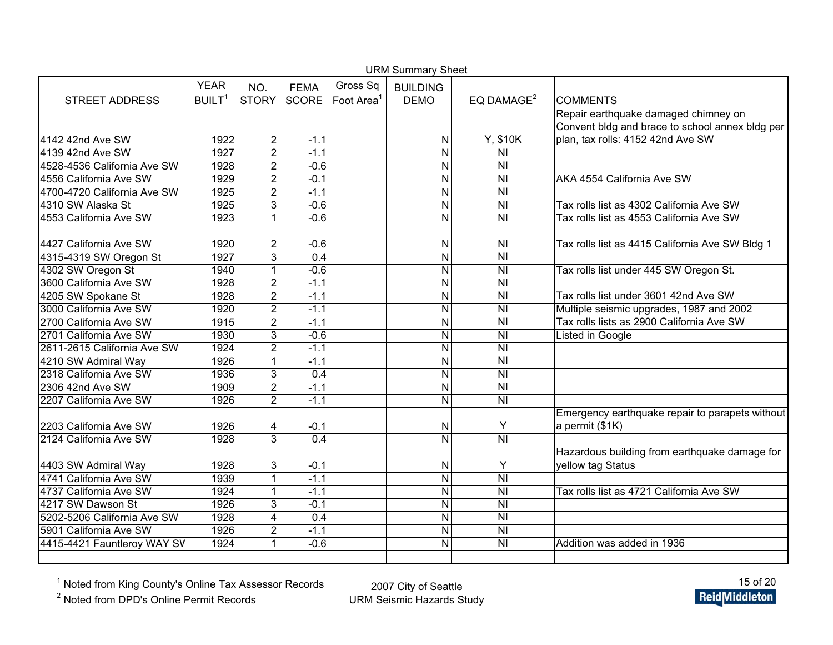| <b>URM Summary Sheet</b>    |                    |                |                  |           |                 |                           |                                                 |  |  |  |
|-----------------------------|--------------------|----------------|------------------|-----------|-----------------|---------------------------|-------------------------------------------------|--|--|--|
|                             | <b>YEAR</b>        | NO.            | <b>FEMA</b>      | Gross Sq  | <b>BUILDING</b> |                           |                                                 |  |  |  |
| <b>STREET ADDRESS</b>       | BUILT <sup>1</sup> | <b>STORY</b>   | SCORE            | Foot Area | <b>DEMO</b>     | EQ DAMAGE <sup>2</sup>    | <b>COMMENTS</b>                                 |  |  |  |
|                             |                    |                |                  |           |                 |                           | Repair earthquake damaged chimney on            |  |  |  |
|                             |                    |                |                  |           |                 |                           | Convent bldg and brace to school annex bldg per |  |  |  |
| 4142 42nd Ave SW            | 1922               | 2              | $-1.1$           |           | N               | Y, \$10K                  | plan, tax rolls: 4152 42nd Ave SW               |  |  |  |
| 4139 42nd Ave SW            | 1927               | $\overline{2}$ | $-1.1$           |           | $\mathsf{N}$    | N <sub>l</sub>            |                                                 |  |  |  |
| 4528-4536 California Ave SW | 1928               | $\overline{2}$ | $-0.6$           |           | ${\sf N}$       | <b>NI</b>                 |                                                 |  |  |  |
| 4556 California Ave SW      | 1929               | $\overline{2}$ | $-0.1$           |           | $\mathsf{N}$    | $\overline{\overline{N}}$ | AKA 4554 California Ave SW                      |  |  |  |
| 4700-4720 California Ave SW | 1925               | $\overline{2}$ | $-1.1$           |           | $\mathsf{N}$    | $\overline{\overline{N}}$ |                                                 |  |  |  |
| 4310 SW Alaska St           | 1925               | $\overline{3}$ | $-0.6$           |           | $\mathsf{N}$    | $\overline{\overline{N}}$ | Tax rolls list as 4302 California Ave SW        |  |  |  |
| 4553 California Ave SW      | 1923               | $\mathbf{1}$   | $-0.6$           |           | $\mathsf{N}$    | $\overline{N}$            | Tax rolls list as 4553 California Ave SW        |  |  |  |
|                             |                    |                |                  |           |                 |                           |                                                 |  |  |  |
| 4427 California Ave SW      | 1920               | $\overline{c}$ | $-0.6$           |           | N               | <b>NI</b>                 | Tax rolls list as 4415 California Ave SW Bldg 1 |  |  |  |
| 4315-4319 SW Oregon St      | 1927               | $\overline{3}$ | $\overline{0.4}$ |           | N               | $\overline{\overline{N}}$ |                                                 |  |  |  |
| 4302 SW Oregon St           | 1940               | $\mathbf{1}$   | $-0.6$           |           | N               | $\overline{\overline{N}}$ | Tax rolls list under 445 SW Oregon St.          |  |  |  |
| 3600 California Ave SW      | 1928               | $\overline{2}$ | $-1.1$           |           | $\mathsf{N}$    | $\overline{\overline{N}}$ |                                                 |  |  |  |
| 4205 SW Spokane St          | 1928               | $\overline{2}$ | $-1.1$           |           | $\mathsf{N}$    | $\overline{\overline{N}}$ | Tax rolls list under 3601 42nd Ave SW           |  |  |  |
| 3000 California Ave SW      | 1920               | $\overline{2}$ | $-1.1$           |           | $\mathsf{N}$    | $\overline{\overline{N}}$ | Multiple seismic upgrades, 1987 and 2002        |  |  |  |
| 2700 California Ave SW      | 1915               | $\overline{2}$ | $-1.1$           |           | $\mathsf{N}$    | $\overline{\overline{N}}$ | Tax rolls lists as 2900 California Ave SW       |  |  |  |
| 2701 California Ave SW      | 1930               | $\overline{3}$ | $-0.6$           |           | ${\sf N}$       | <b>NI</b>                 | Listed in Google                                |  |  |  |
| 2611-2615 California Ave SW | 1924               | $\overline{2}$ | $-1.1$           |           | $\mathsf{N}$    | $\overline{\overline{N}}$ |                                                 |  |  |  |
| 4210 SW Admiral Way         | $19\overline{26}$  | 1              | $-1.1$           |           | $\mathsf{N}$    | $\overline{\overline{N}}$ |                                                 |  |  |  |
| 2318 California Ave SW      | 1936               | 3              | 0.4              |           | $\mathsf{N}$    | <b>NI</b>                 |                                                 |  |  |  |
| 2306 42nd Ave SW            | 1909               | $\overline{2}$ | $-1.1$           |           | $\mathsf{N}$    | $\overline{\overline{N}}$ |                                                 |  |  |  |
| 2207 California Ave SW      | 1926               | $\overline{2}$ | $-1.1$           |           | $\mathsf{N}$    | $\overline{N}$            |                                                 |  |  |  |
|                             |                    |                |                  |           |                 |                           | Emergency earthquake repair to parapets without |  |  |  |
| 2203 California Ave SW      | 1926               | 4              | $-0.1$           |           | ${\sf N}$       | Y                         | a permit (\$1K)                                 |  |  |  |
| 2124 California Ave SW      | 1928               | 3              | 0.4              |           | $\mathsf{N}$    | N <sub>l</sub>            |                                                 |  |  |  |
|                             |                    |                |                  |           |                 |                           | Hazardous building from earthquake damage for   |  |  |  |
| 4403 SW Admiral Way         | 1928               | 3              | $-0.1$           |           | N               | Υ                         | yellow tag Status                               |  |  |  |
| 4741 California Ave SW      | 1939               | $\mathbf{1}$   | $-1.1$           |           | $\mathsf{N}$    | $\overline{\overline{N}}$ |                                                 |  |  |  |
| 4737 California Ave SW      | 1924               | $\mathbf 1$    | $-1.1$           |           | N               | $\overline{\overline{N}}$ | Tax rolls list as 4721 California Ave SW        |  |  |  |
| 4217 SW Dawson St           | 1926               | 3              | $-0.1$           |           | N               | $\overline{\overline{N}}$ |                                                 |  |  |  |
| 5202-5206 California Ave SW | 1928               | 4              | 0.4              |           | $\mathsf{N}$    | <b>NI</b>                 |                                                 |  |  |  |
| 5901 California Ave SW      | 1926               | $\overline{2}$ | $-1.1$           |           | $\mathsf{N}$    | $\overline{\overline{N}}$ |                                                 |  |  |  |
| 4415-4421 Fauntleroy WAY SV | 1924               |                | $-0.6$           |           | N               | $\overline{\overline{N}}$ | Addition was added in 1936                      |  |  |  |
|                             |                    |                |                  |           |                 |                           |                                                 |  |  |  |

<sup>2</sup> Noted from DPD's Online Permit Records

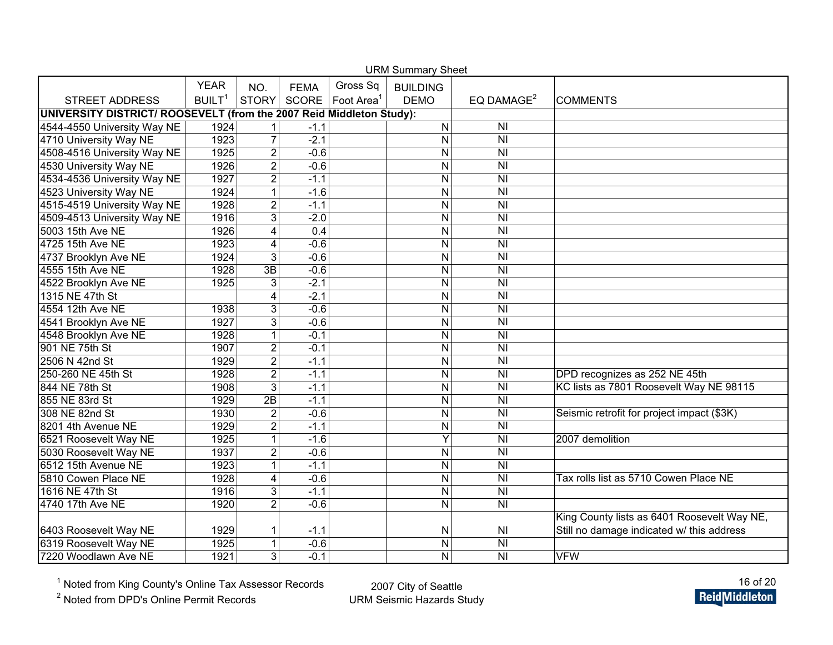| <b>URM Summary Sheet</b>                                             |                    |                         |             |                                |                 |                                                         |                                             |  |  |  |
|----------------------------------------------------------------------|--------------------|-------------------------|-------------|--------------------------------|-----------------|---------------------------------------------------------|---------------------------------------------|--|--|--|
|                                                                      | <b>YEAR</b>        | NO.                     | <b>FEMA</b> | Gross Sq                       | <b>BUILDING</b> |                                                         |                                             |  |  |  |
| <b>STREET ADDRESS</b>                                                | BUILT <sup>1</sup> | <b>STORY</b>            |             | SCORE   Foot Area <sup>1</sup> | <b>DEMO</b>     | EQ DAMAGE <sup>2</sup>                                  | <b>COMMENTS</b>                             |  |  |  |
| UNIVERSITY DISTRICT/ ROOSEVELT (from the 2007 Reid Middleton Study): |                    |                         |             |                                |                 |                                                         |                                             |  |  |  |
| 4544-4550 University Way NE                                          | 1924               |                         | $-1.1$      |                                | $\mathsf{N}$    | N <sub>l</sub>                                          |                                             |  |  |  |
| 4710 University Way NE                                               | 1923               | $\overline{7}$          | $-2.1$      |                                | $\mathsf{N}$    | $\overline{\overline{N}}$                               |                                             |  |  |  |
| 4508-4516 University Way NE                                          | 1925               | $\overline{2}$          | $-0.6$      |                                | N               | N <sub>l</sub>                                          |                                             |  |  |  |
| 4530 University Way NE                                               | 1926               | $\overline{2}$          | $-0.6$      |                                | N               | $\overline{\overline{N}}$                               |                                             |  |  |  |
| 4534-4536 University Way NE                                          | 1927               | $\overline{c}$          | $-1.1$      |                                | N               | N <sub>l</sub>                                          |                                             |  |  |  |
| 4523 University Way NE                                               | 1924               | $\mathbf{1}$            | $-1.6$      |                                | N               | $\overline{\overline{\mathsf{N}}\overline{\mathsf{N}}}$ |                                             |  |  |  |
| 4515-4519 University Way NE                                          | 1928               | $\overline{2}$          | $-1.1$      |                                | $\mathsf{N}$    | N <sub>l</sub>                                          |                                             |  |  |  |
| 4509-4513 University Way NE                                          | 1916               | $\overline{3}$          | $-2.0$      |                                | N               | $\overline{\overline{N}}$                               |                                             |  |  |  |
| 5003 15th Ave NE                                                     | 1926               | $\overline{4}$          | 0.4         |                                | N               | $\overline{\overline{\mathsf{N}}}$                      |                                             |  |  |  |
| 4725 15th Ave NE                                                     | 1923               | 4                       | $-0.6$      |                                | N               | N <sub>l</sub>                                          |                                             |  |  |  |
| 4737 Brooklyn Ave NE                                                 | 1924               | 3                       | $-0.6$      |                                | N               | N <sub>l</sub>                                          |                                             |  |  |  |
| 4555 15th Ave NE                                                     | 1928               | $\overline{3B}$         | $-0.6$      |                                | N               | N <sub>l</sub>                                          |                                             |  |  |  |
| 4522 Brooklyn Ave NE                                                 | 1925               | $\overline{3}$          | $-2.1$      |                                | N               | $\overline{\overline{\mathsf{N}}}$                      |                                             |  |  |  |
| 1315 NE 47th St                                                      |                    | 4                       | $-2.1$      |                                | $\mathsf{N}$    | N <sub>l</sub>                                          |                                             |  |  |  |
| 4554 12th Ave NE                                                     | 1938               | 3                       | $-0.6$      |                                | N               | N <sub>l</sub>                                          |                                             |  |  |  |
| 4541 Brooklyn Ave NE                                                 | 1927               | 3                       | $-0.6$      |                                | N               | N <sub>l</sub>                                          |                                             |  |  |  |
| 4548 Brooklyn Ave NE                                                 | 1928               | 1                       | $-0.1$      |                                | $\mathsf{N}$    | N <sub>l</sub>                                          |                                             |  |  |  |
| 901 NE 75th St                                                       | 1907               | $\overline{2}$          | $-0.1$      |                                | N               | $\overline{\overline{\mathsf{N}}}$                      |                                             |  |  |  |
| 2506 N 42nd St                                                       | 1929               | $\overline{2}$          | $-1.1$      |                                | N               | N <sub>l</sub>                                          |                                             |  |  |  |
| 250-260 NE 45th St                                                   | 1928               | $\overline{2}$          | $-1.1$      |                                | N               | N <sub>l</sub>                                          | DPD recognizes as 252 NE 45th               |  |  |  |
| 844 NE 78th St                                                       | 1908               | $\overline{3}$          | $-1.1$      |                                | N               | $\overline{N}$                                          | KC lists as 7801 Roosevelt Way NE 98115     |  |  |  |
| 855 NE 83rd St                                                       | 1929               | $\overline{2B}$         | $-1.1$      |                                | N               | N <sub>l</sub>                                          |                                             |  |  |  |
| 308 NE 82nd St                                                       | 1930               | $\overline{2}$          | $-0.6$      |                                | N               | $\overline{\overline{\mathsf{N}}}$                      | Seismic retrofit for project impact (\$3K)  |  |  |  |
| 8201 4th Avenue NE                                                   | 1929               | $\overline{2}$          | $-1.1$      |                                | N               | N <sub>l</sub>                                          |                                             |  |  |  |
| 6521 Roosevelt Way NE                                                | 1925               | 1                       | $-1.6$      |                                | Y               | $\overline{\overline{\mathsf{N}}}$                      | 2007 demolition                             |  |  |  |
| 5030 Roosevelt Way NE                                                | 1937               | $\overline{2}$          | $-0.6$      |                                | $\mathsf{N}$    | N <sub>l</sub>                                          |                                             |  |  |  |
| 6512 15th Avenue NE                                                  | 1923               | $\mathbf{1}$            | $-1.1$      |                                | N               | N <sub>l</sub>                                          |                                             |  |  |  |
| 5810 Cowen Place NE                                                  | 1928               | $\overline{\mathbf{4}}$ | $-0.6$      |                                | N               | N <sub>l</sub>                                          | Tax rolls list as 5710 Cowen Place NE       |  |  |  |
| 1616 NE 47th St                                                      | 1916               | 3                       | $-1.1$      |                                | N               | N <sub>l</sub>                                          |                                             |  |  |  |
| 4740 17th Ave NE                                                     | 1920               | $\overline{2}$          | $-0.6$      |                                | N               | $\overline{\overline{N}}$                               |                                             |  |  |  |
|                                                                      |                    |                         |             |                                |                 |                                                         | King County lists as 6401 Roosevelt Way NE, |  |  |  |
| 6403 Roosevelt Way NE                                                | 1929               | 1                       | $-1.1$      |                                | N               | N <sub>l</sub>                                          | Still no damage indicated w/ this address   |  |  |  |
| 6319 Roosevelt Way NE                                                | 1925               | $\mathbf{1}$            | $-0.6$      |                                | N               | $\overline{\overline{\mathsf{N}}}$                      |                                             |  |  |  |
| 7220 Woodlawn Ave NE                                                 | 1921               | 3                       | $-0.1$      |                                | $\mathsf{N}$    | N <sub>l</sub>                                          | <b>VFW</b>                                  |  |  |  |

 $U = U \circ \mathcal{S}$ 

<sup>1</sup> Noted from King County's Online Tax Assessor Records

<sup>2</sup> Noted from DPD's Online Permit Records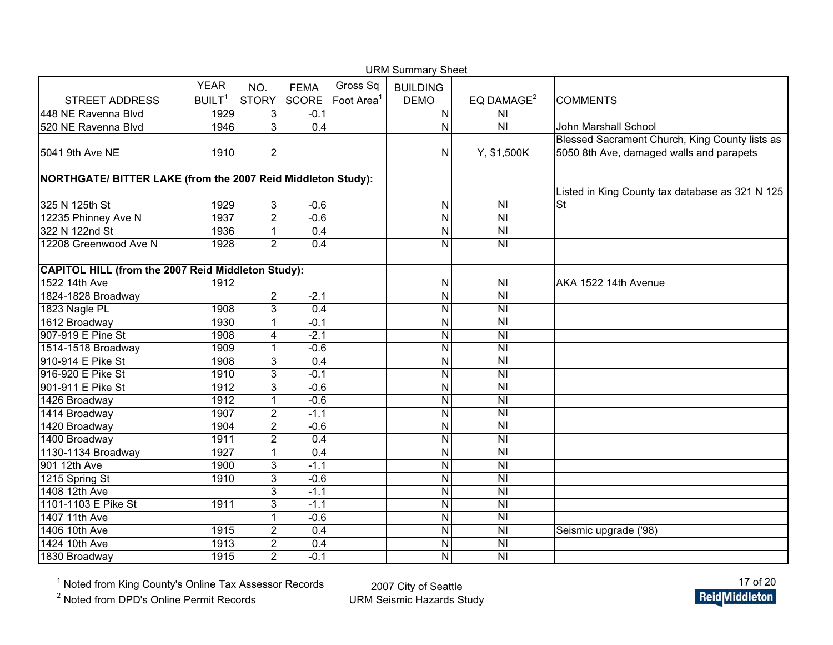|                                                              |                    |                |             | <b>URM Summary Sheet</b> |                         |                                    |                                                 |
|--------------------------------------------------------------|--------------------|----------------|-------------|--------------------------|-------------------------|------------------------------------|-------------------------------------------------|
|                                                              | <b>YEAR</b>        | NO.            | <b>FEMA</b> | Gross Sq                 | <b>BUILDING</b>         |                                    |                                                 |
| <b>STREET ADDRESS</b>                                        | BUILT <sup>1</sup> | <b>STORY</b>   | SCORE       | Foot Area <sup>1</sup>   | <b>DEMO</b>             | EQ DAMAGE <sup>2</sup>             | <b>COMMENTS</b>                                 |
| 448 NE Ravenna Blvd                                          | 1929               | 3              | $-0.1$      |                          | N                       | <b>NI</b>                          |                                                 |
| 520 NE Ravenna Blvd                                          | 1946               | $\overline{3}$ | 0.4         |                          | ${\sf N}$               | $\overline{N}$                     | John Marshall School                            |
|                                                              |                    |                |             |                          |                         |                                    | Blessed Sacrament Church, King County lists as  |
| 5041 9th Ave NE                                              | 1910               | 2              |             |                          | $\mathsf{N}$            | Y, \$1,500K                        | 5050 8th Ave, damaged walls and parapets        |
|                                                              |                    |                |             |                          |                         |                                    |                                                 |
| NORTHGATE/ BITTER LAKE (from the 2007 Reid Middleton Study): |                    |                |             |                          |                         |                                    |                                                 |
|                                                              |                    |                |             |                          |                         |                                    | Listed in King County tax database as 321 N 125 |
| 325 N 125th St                                               | 1929               | 3              | $-0.6$      |                          | ${\sf N}$               | N <sub>l</sub>                     | <b>St</b>                                       |
| 12235 Phinney Ave N                                          | 1937               | $\overline{2}$ | $-0.6$      |                          | $\mathsf{N}$            | N <sub>l</sub>                     |                                                 |
| 322 N 122nd St                                               | 1936               | $\mathbf{1}$   | 0.4         |                          | N                       | $\overline{N}$                     |                                                 |
| 12208 Greenwood Ave N                                        | 1928               | $\overline{2}$ | 0.4         |                          | N                       | N <sub>l</sub>                     |                                                 |
| <b>CAPITOL HILL (from the 2007 Reid Middleton Study):</b>    |                    |                |             |                          |                         |                                    |                                                 |
| 1522 14th Ave                                                | 1912               |                |             |                          | ${\sf N}$               | N <sub>l</sub>                     | AKA 1522 14th Avenue                            |
| 1824-1828 Broadway                                           |                    | $\overline{2}$ | $-2.1$      |                          | $\overline{N}$          | N <sub>l</sub>                     |                                                 |
| 1823 Nagle PL                                                | 1908               | $\overline{3}$ | 0.4         |                          | N                       | N <sub>l</sub>                     |                                                 |
| 1612 Broadway                                                | 1930               | $\mathbf{1}$   | $-0.1$      |                          | N                       | $\overline{\overline{\mathsf{N}}}$ |                                                 |
| 907-919 E Pine St                                            | 1908               | 4              | $-2.1$      |                          | N                       | N <sub>l</sub>                     |                                                 |
| 1514-1518 Broadway                                           | 1909               | 1              | $-0.6$      |                          | N                       | N <sub>l</sub>                     |                                                 |
| 910-914 E Pike St                                            | 1908               | 3              | 0.4         |                          | $\mathsf{N}$            | $\overline{N}$                     |                                                 |
| 916-920 E Pike St                                            | 1910               | $\overline{3}$ | $-0.1$      |                          | N                       | $\overline{\mathsf{N}}$            |                                                 |
| 901-911 E Pike St                                            | 1912               | 3              | $-0.6$      |                          | N                       | $\overline{N}$                     |                                                 |
| 1426 Broadway                                                | 1912               | $\mathbf{1}$   | $-0.6$      |                          | $\mathsf{N}$            | N <sub>l</sub>                     |                                                 |
| 1414 Broadway                                                | 1907               | $\overline{2}$ | $-1.1$      |                          | ${\sf N}$               | $\overline{\overline{N}}$          |                                                 |
| 1420 Broadway                                                | 1904               | $\overline{2}$ | $-0.6$      |                          | N                       | $\overline{N}$                     |                                                 |
| 1400 Broadway                                                | 1911               | $\overline{2}$ | 0.4         |                          | N                       | N <sub>l</sub>                     |                                                 |
| 1130-1134 Broadway                                           | 1927               | $\mathbf{1}$   | 0.4         |                          | $\mathsf{N}$            | $\overline{N}$                     |                                                 |
| 901 12th Ave                                                 | 1900               | $\overline{3}$ | $-1.1$      |                          | N                       | $\overline{N}$                     |                                                 |
| 1215 Spring St                                               | 1910               | $\overline{3}$ | $-0.6$      |                          | N                       | $\overline{\overline{N}}$          |                                                 |
| 1408 12th Ave                                                |                    | $\overline{3}$ | $-1.1$      |                          | N                       | $\overline{\overline{\mathsf{N}}}$ |                                                 |
| 1101-1103 E Pike St                                          | 1911               | $\overline{3}$ | $-1.1$      |                          | $\overline{\mathsf{N}}$ | N <sub>l</sub>                     |                                                 |
| 1407 11th Ave                                                |                    | 1              | $-0.6$      |                          | $\overline{N}$          | $\overline{N}$                     |                                                 |
| 1406 10th Ave                                                | 1915               | $\overline{2}$ | 0.4         |                          | $\mathsf{N}$            | N <sub>l</sub>                     | Seismic upgrade ('98)                           |
| 1424 10th Ave                                                | 1913               | $\overline{2}$ | 0.4         |                          | ${\sf N}$               | $\overline{\overline{N}}$          |                                                 |
| 1830 Broadway                                                | 1915               | $\overline{2}$ | $-0.1$      |                          | N                       | $\overline{N}$                     |                                                 |

<sup>2</sup> Noted from DPD's Online Permit Records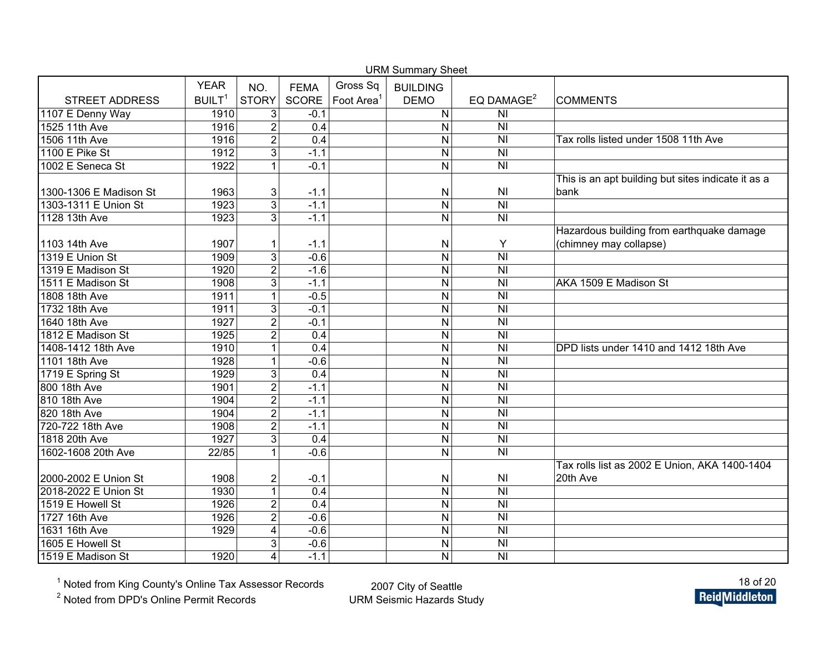| <b>URM Summary Sheet</b> |                    |                |                  |                        |                         |                                    |                                                    |  |  |  |
|--------------------------|--------------------|----------------|------------------|------------------------|-------------------------|------------------------------------|----------------------------------------------------|--|--|--|
|                          | <b>YEAR</b>        | NO.            | <b>FEMA</b>      | Gross Sq               | <b>BUILDING</b>         |                                    |                                                    |  |  |  |
| <b>STREET ADDRESS</b>    | BUILT <sup>1</sup> | <b>STORY</b>   | <b>SCORE</b>     | Foot Area <sup>1</sup> | <b>DEMO</b>             | EQ DAMAGE <sup>2</sup>             | <b>COMMENTS</b>                                    |  |  |  |
| 1107 E Denny Way         | 1910               | $\mathsf 3$    | $-0.1$           |                        | ${\sf N}$               | N <sub>l</sub>                     |                                                    |  |  |  |
| 1525 11th Ave            | 1916               | $\overline{2}$ | 0.4              |                        | $\mathsf{N}$            | $\overline{N}$                     |                                                    |  |  |  |
| 1506 11th Ave            | 1916               | $\overline{2}$ | 0.4              |                        | N                       | N <sub>l</sub>                     | Tax rolls listed under 1508 11th Ave               |  |  |  |
| 1100 E Pike St           | 1912               | $\overline{3}$ | $-1.1$           |                        | N                       | N <sub>l</sub>                     |                                                    |  |  |  |
| 1002 E Seneca St         | 1922               | 1              | $-0.1$           |                        | N                       | N <sub>l</sub>                     |                                                    |  |  |  |
|                          |                    |                |                  |                        |                         |                                    | This is an apt building but sites indicate it as a |  |  |  |
| 1300-1306 E Madison St   | 1963               | 3              | $-1.1$           |                        | $\mathsf{N}$            | N <sub>1</sub>                     | bank                                               |  |  |  |
| 1303-1311 E Union St     | 1923               | $\overline{3}$ | $-1.1$           |                        | $\overline{N}$          | $\overline{N}$                     |                                                    |  |  |  |
| 1128 13th Ave            | 1923               | 3              | $-1.1$           |                        | $\mathsf{N}$            | N <sub>l</sub>                     |                                                    |  |  |  |
|                          |                    |                |                  |                        |                         |                                    | Hazardous building from earthquake damage          |  |  |  |
| 1103 14th Ave            | 1907               | 1              | $-1.1$           |                        | N                       | Y                                  | (chimney may collapse)                             |  |  |  |
| 1319 E Union St          | 1909               | $\overline{3}$ | $-0.6$           |                        | ${\sf N}$               | N <sub>l</sub>                     |                                                    |  |  |  |
| 1319 E Madison St        | 1920               | $\overline{2}$ | $-1.6$           |                        | $\overline{N}$          | $\overline{\overline{N}}$          |                                                    |  |  |  |
| 1511 E Madison St        | 1908               | $\overline{3}$ | $-1.1$           |                        | $\overline{N}$          | $\overline{\overline{N}}$          | AKA 1509 E Madison St                              |  |  |  |
| 1808 18th Ave            | 1911               | 1              | $-0.5$           |                        | $\overline{N}$          | $\overline{N}$                     |                                                    |  |  |  |
| 1732 18th Ave            | 1911               | $\overline{3}$ | $-0.1$           |                        | $\overline{\mathsf{N}}$ | $\overline{\overline{\mathsf{N}}}$ |                                                    |  |  |  |
| 1640 18th Ave            | 1927               | $\overline{2}$ | $-0.1$           |                        | $\overline{N}$          | $\overline{N}$                     |                                                    |  |  |  |
| 1812 E Madison St        | 1925               | $\overline{2}$ | 0.4              |                        | N                       | $\overline{N}$                     |                                                    |  |  |  |
| 1408-1412 18th Ave       | 1910               | $\mathbf{1}$   | $\overline{0.4}$ |                        | ${\sf N}$               | $\overline{N}$                     | DPD lists under 1410 and 1412 18th Ave             |  |  |  |
| 1101 18th Ave            | 1928               | $\mathbf 1$    | $-0.6$           |                        | N                       | $\overline{\overline{\mathsf{N}}}$ |                                                    |  |  |  |
| 1719 E Spring St         | 1929               | 3              | $\overline{0.4}$ |                        | ${\sf N}$               | N <sub>l</sub>                     |                                                    |  |  |  |
| 800 18th Ave             | 1901               | $\overline{2}$ | $-1.1$           |                        | N                       | $\overline{N}$                     |                                                    |  |  |  |
| 810 18th Ave             | 1904               | $\overline{2}$ | $-1.1$           |                        | $\mathsf{N}$            | N <sub>l</sub>                     |                                                    |  |  |  |
| 820 18th Ave             | 1904               | $\overline{2}$ | $-1.1$           |                        | N                       | N <sub>l</sub>                     |                                                    |  |  |  |
| 720-722 18th Ave         | 1908               | $\overline{2}$ | $-1.1$           |                        | ${\sf N}$               | $\overline{\overline{N}}$          |                                                    |  |  |  |
| 1818 20th Ave            | 1927               | $\overline{3}$ | 0.4              |                        | ${\sf N}$               | $\overline{\overline{N}}$          |                                                    |  |  |  |
| 1602-1608 20th Ave       | 22/85              | 1              | $-0.6$           |                        | $\mathsf{N}$            | N <sub>l</sub>                     |                                                    |  |  |  |
|                          |                    |                |                  |                        |                         |                                    | Tax rolls list as 2002 E Union, AKA 1400-1404      |  |  |  |
| 2000-2002 E Union St     | 1908               | $\overline{2}$ | $-0.1$           |                        | $\mathsf{N}$            | N <sub>l</sub>                     | 20th Ave                                           |  |  |  |
| 2018-2022 E Union St     | 1930               | $\mathbf{1}$   | 0.4              |                        | $\mathsf{N}$            | N <sub>l</sub>                     |                                                    |  |  |  |
| 1519 E Howell St         | 1926               | $\overline{2}$ | 0.4              |                        | ${\sf N}$               | N <sub>l</sub>                     |                                                    |  |  |  |
| 1727 16th Ave            | 1926               | $\overline{2}$ | $-0.6$           |                        | N                       | <b>NI</b>                          |                                                    |  |  |  |
| 1631 16th Ave            | 1929               | $\overline{4}$ | $-0.6$           |                        | $\overline{\mathsf{N}}$ | $\overline{N}$                     |                                                    |  |  |  |
| 1605 E Howell St         |                    | 3              | $-0.6$           |                        | N                       | $\overline{N}$                     |                                                    |  |  |  |
| 1519 E Madison St        | 1920               | 4              | $-1.1$           |                        | N                       | N <sub>l</sub>                     |                                                    |  |  |  |

<sup>2</sup> Noted from DPD's Online Permit Records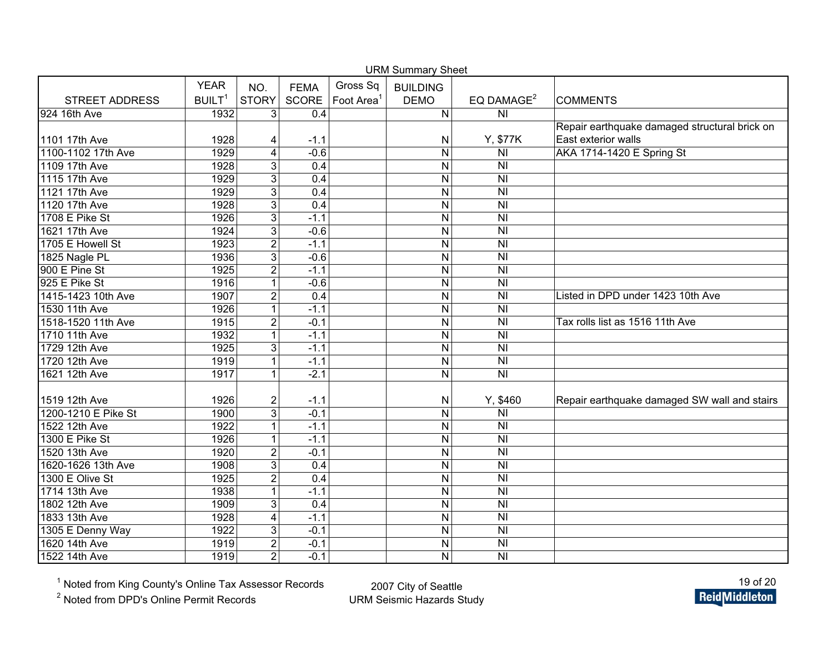| <b>URM Summary Sheet</b> |                    |                         |             |                        |                         |                                    |                                               |  |  |  |
|--------------------------|--------------------|-------------------------|-------------|------------------------|-------------------------|------------------------------------|-----------------------------------------------|--|--|--|
|                          | <b>YEAR</b>        | NO.                     | <b>FEMA</b> | Gross Sq               | <b>BUILDING</b>         |                                    |                                               |  |  |  |
| <b>STREET ADDRESS</b>    | BUILT <sup>1</sup> | <b>STORY</b>            | SCORE       | Foot Area <sup>1</sup> | <b>DEMO</b>             | EQ DAMAGE <sup>2</sup>             | <b>COMMENTS</b>                               |  |  |  |
| 924 16th Ave             | 1932               | 3                       | 0.4         |                        | $\mathsf{N}$            | N <sub>l</sub>                     |                                               |  |  |  |
|                          |                    |                         |             |                        |                         |                                    | Repair earthquake damaged structural brick on |  |  |  |
| 1101 17th Ave            | 1928               | 4                       | $-1.1$      |                        | N                       | Y, \$77K                           | East exterior walls                           |  |  |  |
| 1100-1102 17th Ave       | 1929               | $\overline{\mathbf{4}}$ | $-0.6$      |                        | N                       | N <sub>l</sub>                     | AKA 1714-1420 E Spring St                     |  |  |  |
| 1109 17th Ave            | 1928               | 3                       | 0.4         |                        | N                       | N <sub>l</sub>                     |                                               |  |  |  |
| 1115 17th Ave            | 1929               | $\overline{3}$          | 0.4         |                        | $\overline{N}$          | $\overline{N}$                     |                                               |  |  |  |
| 1121 17th Ave            | 1929               | $\overline{3}$          | 0.4         |                        | ${\sf N}$               | $\overline{N}$                     |                                               |  |  |  |
| 1120 17th Ave            | 1928               | $\overline{3}$          | 0.4         |                        | ${\sf N}$               | $\overline{\overline{N}}$          |                                               |  |  |  |
| 1708 E Pike St           | 1926               | $\overline{3}$          | $-1.1$      |                        | N                       | $\overline{\overline{\mathsf{N}}}$ |                                               |  |  |  |
| 1621 17th Ave            | 1924               | 3                       | $-0.6$      |                        | N                       | <b>NI</b>                          |                                               |  |  |  |
| 1705 E Howell St         | 1923               | $\overline{2}$          | $-1.1$      |                        | N                       | $\overline{N}$                     |                                               |  |  |  |
| 1825 Nagle PL            | 1936               | 3                       | $-0.6$      |                        | $\mathsf{N}$            | $\overline{\overline{\mathsf{N}}}$ |                                               |  |  |  |
| 900 E Pine St            | 1925               | $\overline{2}$          | $-1.1$      |                        | N                       | $\overline{N}$                     |                                               |  |  |  |
| 925 E Pike St            | 1916               | $\mathbf{1}$            | $-0.6$      |                        | N                       | N <sub>l</sub>                     |                                               |  |  |  |
| 1415-1423 10th Ave       | 1907               | $\overline{2}$          | 0.4         |                        | $\mathsf{N}$            | $\overline{N}$                     | Listed in DPD under 1423 10th Ave             |  |  |  |
| 1530 11th Ave            | 1926               | $\mathbf{1}$            | $-1.1$      |                        | $\mathsf{N}$            | $\overline{N}$                     |                                               |  |  |  |
| 1518-1520 11th Ave       | 1915               | $\overline{2}$          | $-0.1$      |                        | N                       | $\overline{N}$                     | Tax rolls list as 1516 11th Ave               |  |  |  |
| 1710 11th Ave            | 1932               | $\mathbf{1}$            | $-1.1$      |                        | $\mathsf{N}$            | N <sub>l</sub>                     |                                               |  |  |  |
| 1729 12th Ave            | 1925               | 3                       | $-1.1$      |                        | $\mathsf{N}$            | $\overline{\overline{N}}$          |                                               |  |  |  |
| 1720 12th Ave            | 1919               | $\mathbf{1}$            | $-1.1$      |                        | ${\sf N}$               | $\overline{N}$                     |                                               |  |  |  |
| 1621 12th Ave            | 1917               | $\mathbf{1}$            | $-2.1$      |                        | $\mathsf{N}$            | $\overline{\mathsf{N}}$            |                                               |  |  |  |
|                          |                    |                         |             |                        |                         |                                    |                                               |  |  |  |
| 1519 12th Ave            | 1926               | $\overline{2}$          | $-1.1$      |                        | N                       | Y, \$460                           | Repair earthquake damaged SW wall and stairs  |  |  |  |
| 1200-1210 E Pike St      | 1900               | $\overline{3}$          | $-0.1$      |                        | N                       | N <sub>l</sub>                     |                                               |  |  |  |
| 1522 12th Ave            | 1922               | $\mathbf{1}$            | $-1.1$      |                        | $\mathsf{N}$            | N <sub>l</sub>                     |                                               |  |  |  |
| 1300 E Pike St           | 1926               | $\mathbf{1}$            | $-1.1$      |                        | N                       | $\overline{N}$                     |                                               |  |  |  |
| 1520 13th Ave            | 1920               | $\overline{2}$          | $-0.1$      |                        | N                       | $\overline{\overline{N}}$          |                                               |  |  |  |
| 1620-1626 13th Ave       | 1908               | $\overline{3}$          | 0.4         |                        | N                       | $\overline{N}$                     |                                               |  |  |  |
| 1300 E Olive St          | 1925               | $\overline{2}$          | 0.4         |                        | N                       | $\overline{N}$                     |                                               |  |  |  |
| 1714 13th Ave            | 1938               | $\mathbf{1}$            | $-1.1$      |                        | $\overline{\mathsf{N}}$ | $\overline{N}$                     |                                               |  |  |  |
| 1802 12th Ave            | 1909               | 3                       | 0.4         |                        | N                       | <b>NI</b>                          |                                               |  |  |  |
| 1833 13th Ave            | 1928               | $\overline{\mathbf{4}}$ | $-1.1$      |                        | N                       | <b>NI</b>                          |                                               |  |  |  |
| 1305 E Denny Way         | 1922               | 3                       | $-0.1$      |                        | $\overline{\mathsf{N}}$ | $\overline{N}$                     |                                               |  |  |  |
| 1620 14th Ave            | 1919               | $\overline{2}$          | $-0.1$      |                        | $\overline{\mathsf{N}}$ | <b>NI</b>                          |                                               |  |  |  |
| 1522 14th Ave            | 1919               | $\overline{2}$          | $-0.1$      |                        | $\mathsf{N}$            | $\overline{N}$                     |                                               |  |  |  |

<sup>2</sup> Noted from DPD's Online Permit Records